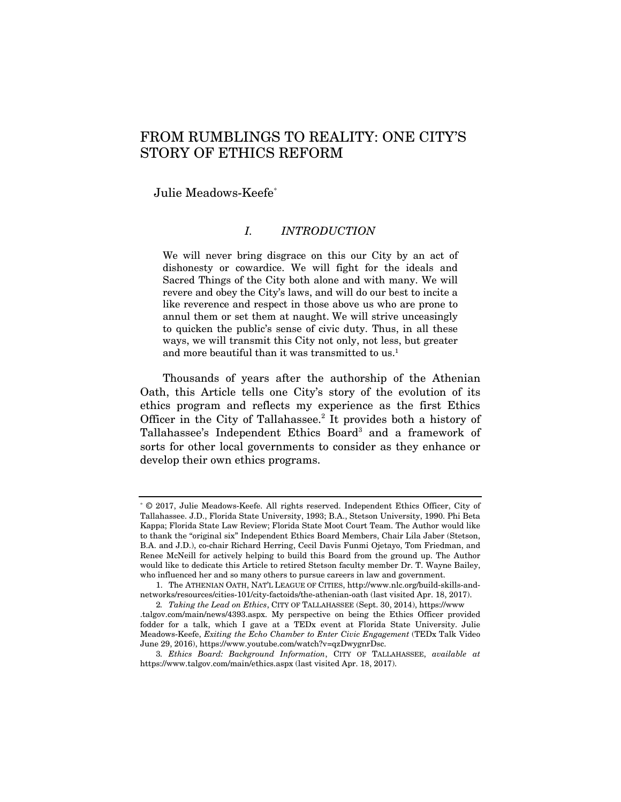# FROM RUMBLINGS TO REALITY: ONE CITY'S STORY OF ETHICS REFORM

Julie Meadows-Keefe\*

## *I. INTRODUCTION*

We will never bring disgrace on this our City by an act of dishonesty or cowardice. We will fight for the ideals and Sacred Things of the City both alone and with many. We will revere and obey the City's laws, and will do our best to incite a like reverence and respect in those above us who are prone to annul them or set them at naught. We will strive unceasingly to quicken the public's sense of civic duty. Thus, in all these ways, we will transmit this City not only, not less, but greater and more beautiful than it was transmitted to us.<sup>1</sup>

Thousands of years after the authorship of the Athenian Oath, this Article tells one City's story of the evolution of its ethics program and reflects my experience as the first Ethics Officer in the City of Tallahassee.<sup>2</sup> It provides both a history of Tallahassee's Independent Ethics Board<sup>3</sup> and a framework of sorts for other local governments to consider as they enhance or develop their own ethics programs.

<sup>\*</sup> © 2017, Julie Meadows-Keefe. All rights reserved. Independent Ethics Officer, City of Tallahassee. J.D., Florida State University, 1993; B.A., Stetson University, 1990. Phi Beta Kappa; Florida State Law Review; Florida State Moot Court Team. The Author would like to thank the "original six" Independent Ethics Board Members, Chair Lila Jaber (Stetson, B.A. and J.D.), co-chair Richard Herring, Cecil Davis Funmi Ojetayo, Tom Friedman, and Renee McNeill for actively helping to build this Board from the ground up. The Author would like to dedicate this Article to retired Stetson faculty member Dr. T. Wayne Bailey, who influenced her and so many others to pursue careers in law and government.

 <sup>1.</sup> The ATHENIAN OATH, NAT'L LEAGUE OF CITIES, http://www.nlc.org/build-skills-andnetworks/resources/cities-101/city-factoids/the-athenian-oath (last visited Apr. 18, 2017).

<sup>2</sup>*. Taking the Lead on Ethics*, CITY OF TALLAHASSEE (Sept. 30, 2014), https://www .talgov.com/main/news/4393.aspx. My perspective on being the Ethics Officer provided fodder for a talk, which I gave at a TEDx event at Florida State University. Julie Meadows-Keefe, *Exiting the Echo Chamber to Enter Civic Engagement* (TEDx Talk Video June 29, 2016), https://www.youtube.com/watch?v=qzDwygnrDsc.

<sup>3</sup>*. Ethics Board: Background Information*, CITY OF TALLAHASSEE, *available at* https://www.talgov.com/main/ethics.aspx (last visited Apr. 18, 2017).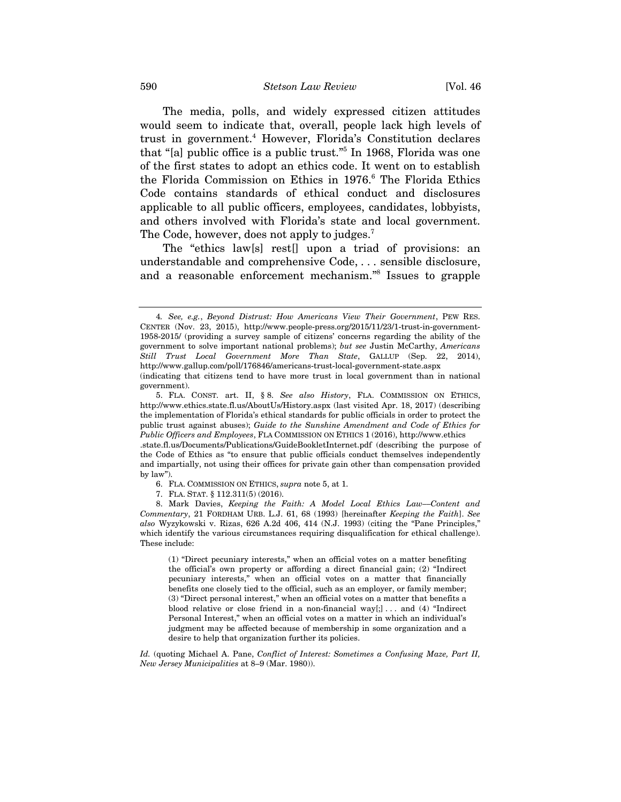The media, polls, and widely expressed citizen attitudes would seem to indicate that, overall, people lack high levels of trust in government.4 However, Florida's Constitution declares that "[a] public office is a public trust."5 In 1968, Florida was one of the first states to adopt an ethics code. It went on to establish the Florida Commission on Ethics in 1976.<sup>6</sup> The Florida Ethics Code contains standards of ethical conduct and disclosures applicable to all public officers, employees, candidates, lobbyists, and others involved with Florida's state and local government. The Code, however, does not apply to judges.<sup>7</sup>

The "ethics law[s] rest[] upon a triad of provisions: an understandable and comprehensive Code, . . . sensible disclosure, and a reasonable enforcement mechanism."8 Issues to grapple

- 6. FLA. COMMISSION ON ETHICS, *supra* note 5, at 1.
- 7. FLA. STAT. § 112.311(5) (2016).

 8. Mark Davies, *Keeping the Faith: A Model Local Ethics Law––Content and Commentary*, 21 FORDHAM URB. L.J. 61, 68 (1993) [hereinafter *Keeping the Faith*]. *See also* Wyzykowski v. Rizas, 626 A.2d 406, 414 (N.J. 1993) (citing the "Pane Principles," which identify the various circumstances requiring disqualification for ethical challenge). These include:

(1) "Direct pecuniary interests," when an official votes on a matter benefiting the official's own property or affording a direct financial gain; (2) "Indirect pecuniary interests," when an official votes on a matter that financially benefits one closely tied to the official, such as an employer, or family member; (3) "Direct personal interest," when an official votes on a matter that benefits a blood relative or close friend in a non-financial way $[$ ; ... and (4) "Indirect Personal Interest," when an official votes on a matter in which an individual's judgment may be affected because of membership in some organization and a desire to help that organization further its policies.

*Id.* (quoting Michael A. Pane, *Conflict of Interest: Sometimes a Confusing Maze, Part II, New Jersey Municipalities* at 8–9 (Mar. 1980)).

<sup>4</sup>*. See, e.g.*, *Beyond Distrust: How Americans View Their Government*, PEW RES. CENTER (Nov. 23, 2015), http://www.people-press.org/2015/11/23/1-trust-in-government-1958-2015/ (providing a survey sample of citizens' concerns regarding the ability of the government to solve important national problems); *but see* Justin McCarthy, *Americans Still Trust Local Government More Than State*, GALLUP (Sep. 22, 2014), http://www.gallup.com/poll/176846/americans-trust-local-government-state.aspx

<sup>(</sup>indicating that citizens tend to have more trust in local government than in national government).

 <sup>5.</sup> FLA. CONST. art. II, § 8. *See also History*, FLA. COMMISSION ON ETHICS, http://www.ethics.state.fl.us/AboutUs/History.aspx (last visited Apr. 18, 2017) (describing the implementation of Florida's ethical standards for public officials in order to protect the public trust against abuses); *Guide to the Sunshine Amendment and Code of Ethics for Public Officers and Employees*, FLA COMMISSION ON ETHICS 1 (2016), http://www.ethics

<sup>.</sup>state.fl.us/Documents/Publications/GuideBookletInternet.pdf (describing the purpose of the Code of Ethics as "to ensure that public officials conduct themselves independently and impartially, not using their offices for private gain other than compensation provided by law").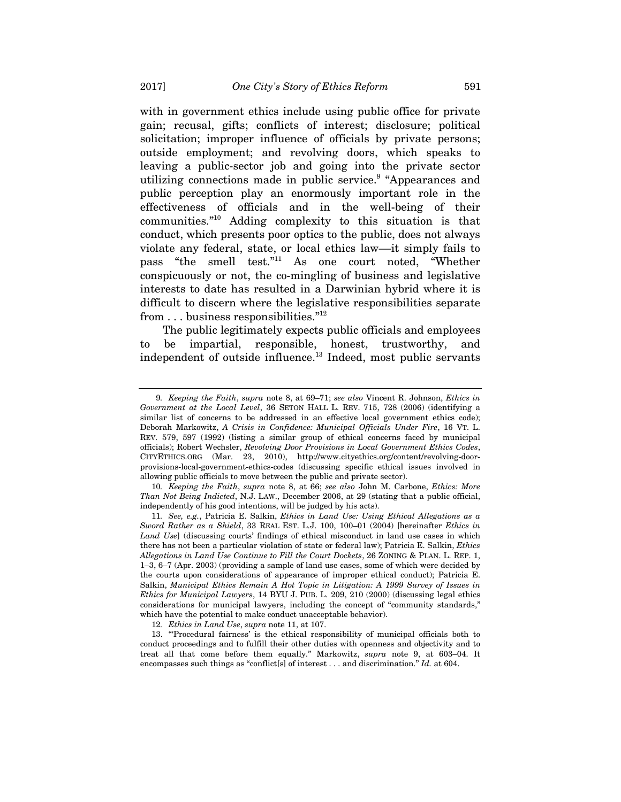with in government ethics include using public office for private gain; recusal, gifts; conflicts of interest; disclosure; political solicitation; improper influence of officials by private persons; outside employment; and revolving doors, which speaks to leaving a public-sector job and going into the private sector utilizing connections made in public service.<sup>9</sup> "Appearances and public perception play an enormously important role in the effectiveness of officials and in the well-being of their communities."10 Adding complexity to this situation is that conduct, which presents poor optics to the public, does not always violate any federal, state, or local ethics law––it simply fails to pass "the smell test."11 As one court noted, "Whether conspicuously or not, the co-mingling of business and legislative interests to date has resulted in a Darwinian hybrid where it is difficult to discern where the legislative responsibilities separate from . . . business responsibilities."12

The public legitimately expects public officials and employees to be impartial, responsible, honest, trustworthy, and independent of outside influence.13 Indeed, most public servants

<sup>9</sup>*. Keeping the Faith*, *supra* note 8, at 69–71; *see also* Vincent R. Johnson, *Ethics in Government at the Local Level*, 36 SETON HALL L. REV. 715, 728 (2006) (identifying a similar list of concerns to be addressed in an effective local government ethics code); Deborah Markowitz, *A Crisis in Confidence: Municipal Officials Under Fire*, 16 VT. L. REV. 579, 597 (1992) (listing a similar group of ethical concerns faced by municipal officials); Robert Wechsler, *Revolving Door Provisions in Local Government Ethics Codes*, CITYETHICS.ORG (Mar. 23, 2010), http://www.cityethics.org/content/revolving-doorprovisions-local-government-ethics-codes (discussing specific ethical issues involved in allowing public officials to move between the public and private sector).

<sup>10</sup>*. Keeping the Faith*, *supra* note 8, at 66; *see also* John M. Carbone, *Ethics: More Than Not Being Indicted*, N.J. LAW., December 2006, at 29 (stating that a public official, independently of his good intentions, will be judged by his acts).

<sup>11</sup>*. See, e.g.*, Patricia E. Salkin, *Ethics in Land Use: Using Ethical Allegations as a Sword Rather as a Shield*, 33 REAL EST. L.J. 100, 100–01 (2004) [hereinafter *Ethics in Land Use*] (discussing courts' findings of ethical misconduct in land use cases in which there has not been a particular violation of state or federal law); Patricia E. Salkin, *Ethics Allegations in Land Use Continue to Fill the Court Dockets*, 26 ZONING & PLAN. L. REP. 1, 1–3, 6–7 (Apr. 2003) (providing a sample of land use cases, some of which were decided by the courts upon considerations of appearance of improper ethical conduct); Patricia E. Salkin, *Municipal Ethics Remain A Hot Topic in Litigation: A 1999 Survey of Issues in Ethics for Municipal Lawyers*, 14 BYU J. PUB. L. 209, 210 (2000) (discussing legal ethics considerations for municipal lawyers, including the concept of "community standards," which have the potential to make conduct unacceptable behavior).

<sup>12</sup>*. Ethics in Land Use*, *supra* note 11, at 107.

 <sup>13. &</sup>quot;'Procedural fairness' is the ethical responsibility of municipal officials both to conduct proceedings and to fulfill their other duties with openness and objectivity and to treat all that come before them equally." Markowitz, *supra* note 9, at 603–04. It encompasses such things as "conflict[s] of interest . . . and discrimination." *Id.* at 604.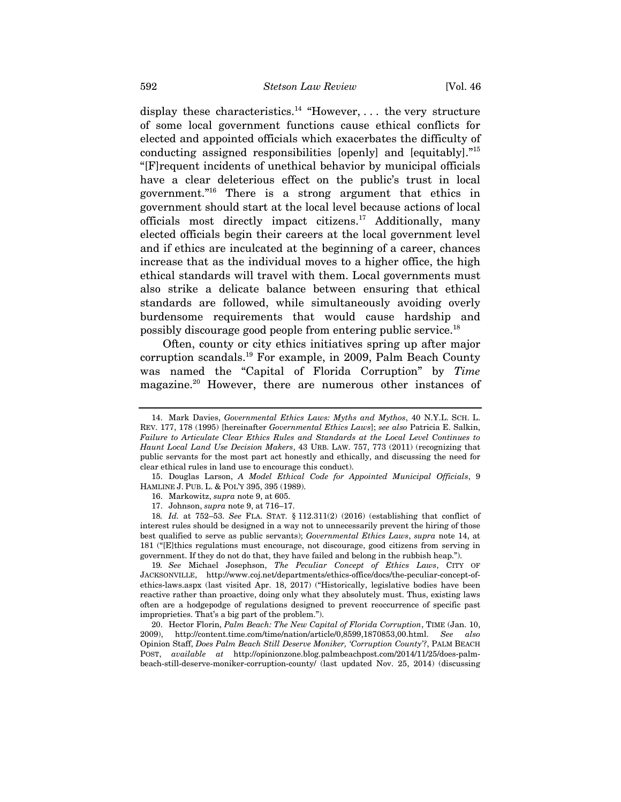display these characteristics.<sup>14</sup> "However, ... the very structure of some local government functions cause ethical conflicts for elected and appointed officials which exacerbates the difficulty of conducting assigned responsibilities [openly] and [equitably]."15 "[F]requent incidents of unethical behavior by municipal officials have a clear deleterious effect on the public's trust in local government."16 There is a strong argument that ethics in government should start at the local level because actions of local officials most directly impact citizens.<sup>17</sup> Additionally, many elected officials begin their careers at the local government level and if ethics are inculcated at the beginning of a career, chances increase that as the individual moves to a higher office, the high ethical standards will travel with them. Local governments must also strike a delicate balance between ensuring that ethical standards are followed, while simultaneously avoiding overly burdensome requirements that would cause hardship and possibly discourage good people from entering public service.18

Often, county or city ethics initiatives spring up after major corruption scandals.19 For example, in 2009, Palm Beach County was named the "Capital of Florida Corruption" by *Time* magazine.20 However, there are numerous other instances of

19*. See* Michael Josephson, *The Peculiar Concept of Ethics Laws*, CITY OF JACKSONVILLE, http://www.coj.net/departments/ethics-office/docs/the-peculiar-concept-ofethics-laws.aspx (last visited Apr. 18, 2017) ("Historically, legislative bodies have been reactive rather than proactive, doing only what they absolutely must. Thus, existing laws often are a hodgepodge of regulations designed to prevent reoccurrence of specific past improprieties. That's a big part of the problem.").

 20. Hector Florin, *Palm Beach: The New Capital of Florida Corruption*, TIME (Jan. 10, 2009), http://content.time.com/time/nation/article/0,8599,1870853,00.html. *See also*  Opinion Staff, *Does Palm Beach Still Deserve Moniker, 'Corruption County'?*, PALM BEACH POST, *available at* http://opinionzone.blog.palmbeachpost.com/2014/11/25/does-palmbeach-still-deserve-moniker-corruption-county/ (last updated Nov. 25, 2014) (discussing

 <sup>14.</sup> Mark Davies, *Governmental Ethics Laws: Myths and Mythos*, 40 N.Y.L. SCH. L. REV. 177, 178 (1995) [hereinafter *Governmental Ethics Laws*]; *see also* Patricia E. Salkin, *Failure to Articulate Clear Ethics Rules and Standards at the Local Level Continues to Haunt Local Land Use Decision Makers*, 43 URB. LAW. 757, 773 (2011) (recognizing that public servants for the most part act honestly and ethically, and discussing the need for clear ethical rules in land use to encourage this conduct).

 <sup>15.</sup> Douglas Larson, *A Model Ethical Code for Appointed Municipal Officials*, 9 HAMLINE J. PUB. L. & POL'Y 395, 395 (1989).

 <sup>16.</sup> Markowitz, *supra* note 9, at 605.

 <sup>17.</sup> Johnson, *supra* note 9, at 716–17.

<sup>18</sup>*. Id.* at 752–53. *See* FLA. STAT. § 112.311(2) (2016) (establishing that conflict of interest rules should be designed in a way not to unnecessarily prevent the hiring of those best qualified to serve as public servants); *Governmental Ethics Laws*, *supra* note 14, at 181 ("[E]thics regulations must encourage, not discourage, good citizens from serving in government. If they do not do that, they have failed and belong in the rubbish heap.").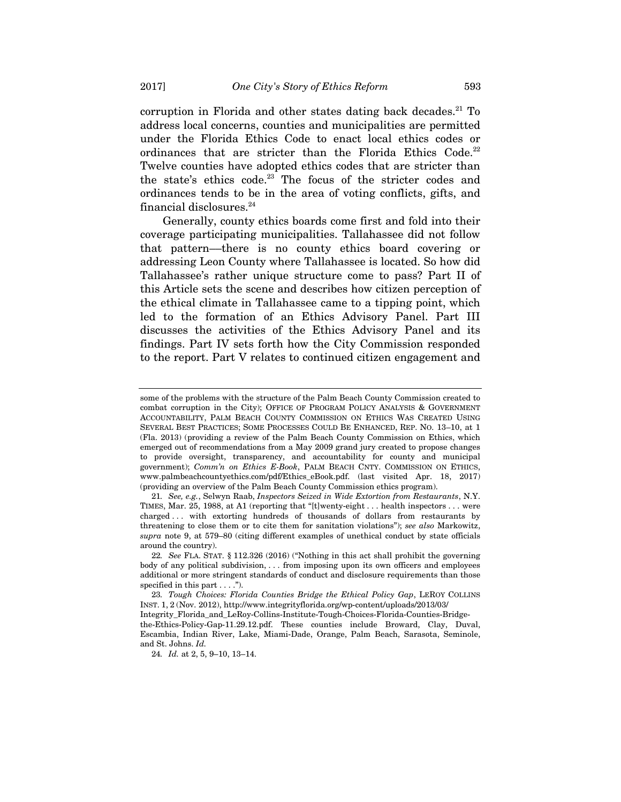corruption in Florida and other states dating back decades.<sup>21</sup> To address local concerns, counties and municipalities are permitted under the Florida Ethics Code to enact local ethics codes or ordinances that are stricter than the Florida Ethics Code.<sup>22</sup> Twelve counties have adopted ethics codes that are stricter than the state's ethics code.<sup>23</sup> The focus of the stricter codes and ordinances tends to be in the area of voting conflicts, gifts, and financial disclosures.<sup>24</sup>

Generally, county ethics boards come first and fold into their coverage participating municipalities. Tallahassee did not follow that pattern––there is no county ethics board covering or addressing Leon County where Tallahassee is located. So how did Tallahassee's rather unique structure come to pass? Part II of this Article sets the scene and describes how citizen perception of the ethical climate in Tallahassee came to a tipping point, which led to the formation of an Ethics Advisory Panel. Part III discusses the activities of the Ethics Advisory Panel and its findings. Part IV sets forth how the City Commission responded to the report. Part V relates to continued citizen engagement and

23*. Tough Choices: Florida Counties Bridge the Ethical Policy Gap*, LEROY COLLINS INST. 1, 2 (Nov. 2012), http://www.integrityflorida.org/wp-content/uploads/2013/03/

some of the problems with the structure of the Palm Beach County Commission created to combat corruption in the City); OFFICE OF PROGRAM POLICY ANALYSIS & GOVERNMENT ACCOUNTABILITY, PALM BEACH COUNTY COMMISSION ON ETHICS WAS CREATED USING SEVERAL BEST PRACTICES; SOME PROCESSES COULD BE ENHANCED, REP. NO. 13–10, at 1 (Fla. 2013) (providing a review of the Palm Beach County Commission on Ethics, which emerged out of recommendations from a May 2009 grand jury created to propose changes to provide oversight, transparency, and accountability for county and municipal government); *Comm'n on Ethics E-Book*, PALM BEACH CNTY. COMMISSION ON ETHICS, www.palmbeachcountyethics.com/pdf/Ethics\_eBook.pdf. (last visited Apr. 18, 2017) (providing an overview of the Palm Beach County Commission ethics program).

<sup>21</sup>*. See, e.g.*, Selwyn Raab, *Inspectors Seized in Wide Extortion from Restaurants*, N.Y. TIMES, Mar. 25, 1988, at A1 (reporting that "[t]wenty-eight . . . health inspectors . . . were charged . . . with extorting hundreds of thousands of dollars from restaurants by threatening to close them or to cite them for sanitation violations"); *see also* Markowitz, *supra* note 9, at 579–80 (citing different examples of unethical conduct by state officials around the country).

<sup>22</sup>*. See* FLA. STAT. § 112.326 (2016) ("Nothing in this act shall prohibit the governing body of any political subdivision, . . . from imposing upon its own officers and employees additional or more stringent standards of conduct and disclosure requirements than those specified in this part . . . .").

Integrity\_Florida\_and\_LeRoy-Collins-Institute-Tough-Choices-Florida-Counties-Bridgethe-Ethics-Policy-Gap-11.29.12.pdf. These counties include Broward, Clay, Duval, Escambia, Indian River, Lake, Miami-Dade, Orange, Palm Beach, Sarasota, Seminole, and St. Johns. *Id.*

<sup>24</sup>*. Id.* at 2, 5, 9–10, 13–14.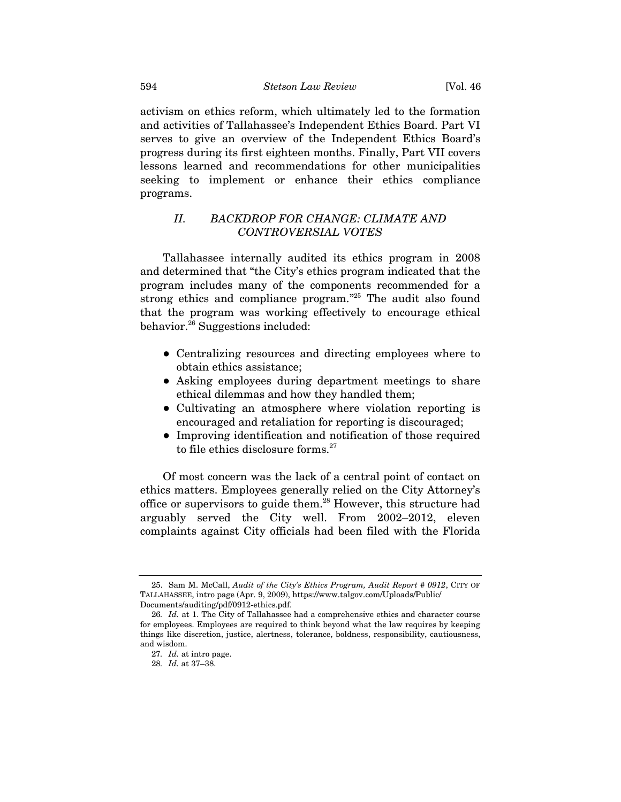activism on ethics reform, which ultimately led to the formation and activities of Tallahassee's Independent Ethics Board. Part VI serves to give an overview of the Independent Ethics Board's progress during its first eighteen months. Finally, Part VII covers lessons learned and recommendations for other municipalities seeking to implement or enhance their ethics compliance programs.

# *II. BACKDROP FOR CHANGE: CLIMATE AND CONTROVERSIAL VOTES*

Tallahassee internally audited its ethics program in 2008 and determined that "the City's ethics program indicated that the program includes many of the components recommended for a strong ethics and compliance program."25 The audit also found that the program was working effectively to encourage ethical behavior.26 Suggestions included:

- Centralizing resources and directing employees where to obtain ethics assistance;
- Asking employees during department meetings to share ethical dilemmas and how they handled them;
- Cultivating an atmosphere where violation reporting is encouraged and retaliation for reporting is discouraged;
- Improving identification and notification of those required to file ethics disclosure forms.<sup>27</sup>

Of most concern was the lack of a central point of contact on ethics matters. Employees generally relied on the City Attorney's office or supervisors to guide them.28 However, this structure had arguably served the City well. From 2002–2012, eleven complaints against City officials had been filed with the Florida

 <sup>25.</sup> Sam M. McCall, *Audit of the City's Ethics Program, Audit Report # 0912*, CITY OF TALLAHASSEE, intro page (Apr. 9, 2009), https://www.talgov.com/Uploads/Public/ Documents/auditing/pdf/0912-ethics.pdf.

<sup>26</sup>*. Id.* at 1. The City of Tallahassee had a comprehensive ethics and character course for employees. Employees are required to think beyond what the law requires by keeping things like discretion, justice, alertness, tolerance, boldness, responsibility, cautiousness, and wisdom.

<sup>27</sup>*. Id.* at intro page.

<sup>28</sup>*. Id.* at 37–38.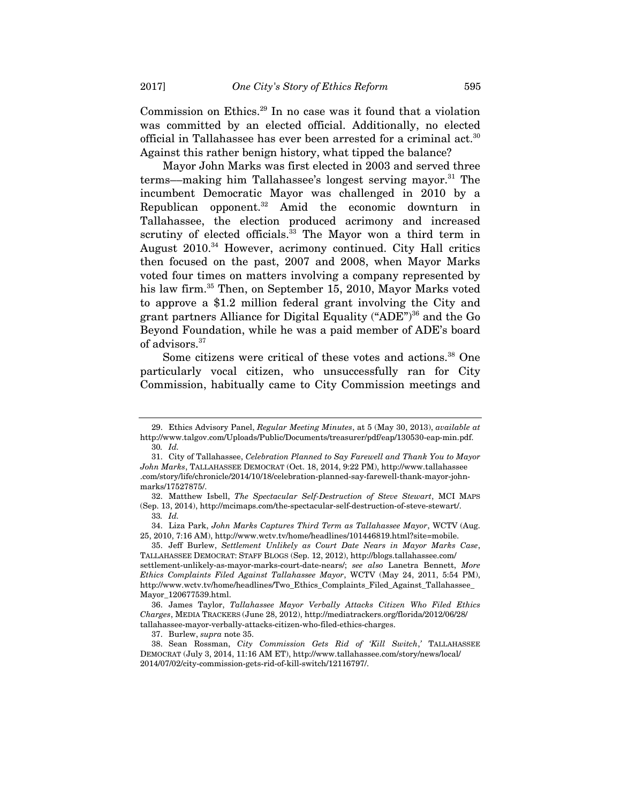Commission on Ethics.29 In no case was it found that a violation was committed by an elected official. Additionally, no elected official in Tallahassee has ever been arrested for a criminal act.<sup>30</sup> Against this rather benign history, what tipped the balance?

Mayor John Marks was first elected in 2003 and served three terms—making him Tallahassee's longest serving mayor.<sup>31</sup> The incumbent Democratic Mayor was challenged in 2010 by a Republican opponent.<sup>32</sup> Amid the economic downturn in Tallahassee, the election produced acrimony and increased scrutiny of elected officials.<sup>33</sup> The Mayor won a third term in August 2010.34 However, acrimony continued. City Hall critics then focused on the past, 2007 and 2008, when Mayor Marks voted four times on matters involving a company represented by his law firm.<sup>35</sup> Then, on September 15, 2010, Mayor Marks voted to approve a \$1.2 million federal grant involving the City and grant partners Alliance for Digital Equality ("ADE")<sup>36</sup> and the Go Beyond Foundation, while he was a paid member of ADE's board of advisors.<sup>37</sup>

Some citizens were critical of these votes and actions.<sup>38</sup> One particularly vocal citizen, who unsuccessfully ran for City Commission, habitually came to City Commission meetings and

37. Burlew, *supra* note 35.

 <sup>29.</sup> Ethics Advisory Panel, *Regular Meeting Minutes*, at 5 (May 30, 2013), *available at* http://www.talgov.com/Uploads/Public/Documents/treasurer/pdf/eap/130530-eap-min.pdf. 30*. Id.*

 <sup>31.</sup> City of Tallahassee, *Celebration Planned to Say Farewell and Thank You to Mayor John Marks*, TALLAHASSEE DEMOCRAT (Oct. 18, 2014, 9:22 PM), http://www.tallahassee .com/story/life/chronicle/2014/10/18/celebration-planned-say-farewell-thank-mayor-johnmarks/17527875/.

 <sup>32.</sup> Matthew Isbell, *The Spectacular Self-Destruction of Steve Stewart*, MCI MAPS (Sep. 13, 2014), http://mcimaps.com/the-spectacular-self-destruction-of-steve-stewart/. 33*. Id.*

 <sup>34.</sup> Liza Park, *John Marks Captures Third Term as Tallahassee Mayor*, WCTV (Aug. 25, 2010, 7:16 AM), http://www.wctv.tv/home/headlines/101446819.html?site=mobile.

 <sup>35.</sup> Jeff Burlew, *Settlement Unlikely as Court Date Nears in Mayor Marks Case*, TALLAHASSEE DEMOCRAT: STAFF BLOGS (Sep. 12, 2012), http://blogs.tallahassee.com/ settlement-unlikely-as-mayor-marks-court-date-nears/; *see also* Lanetra Bennett, *More Ethics Complaints Filed Against Tallahassee Mayor*, WCTV (May 24, 2011, 5:54 PM), http://www.wctv.tv/home/headlines/Two\_Ethics\_Complaints\_Filed\_Against\_Tallahassee\_ Mayor\_120677539.html.

 <sup>36.</sup> James Taylor, *Tallahassee Mayor Verbally Attacks Citizen Who Filed Ethics Charges*, MEDIA TRACKERS (June 28, 2012), http://mediatrackers.org/florida/2012/06/28/ tallahassee-mayor-verbally-attacks-citizen-who-filed-ethics-charges.

 <sup>38.</sup> Sean Rossman, *City Commission Gets Rid of 'Kill Switch*,*'* TALLAHASSEE DEMOCRAT (July 3, 2014, 11:16 AM ET), http://www.tallahassee.com/story/news/local/ 2014/07/02/city-commission-gets-rid-of-kill-switch/12116797/.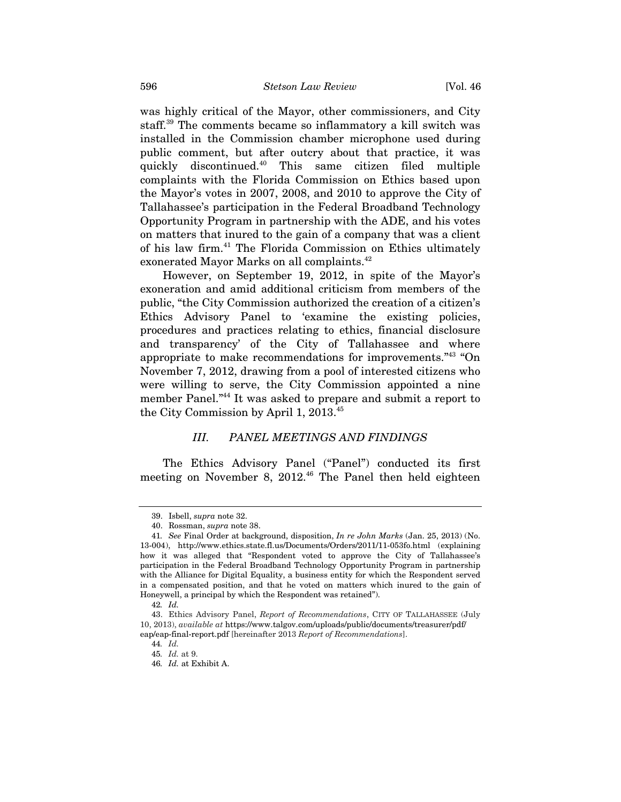was highly critical of the Mayor, other commissioners, and City staff.39 The comments became so inflammatory a kill switch was installed in the Commission chamber microphone used during public comment, but after outcry about that practice, it was quickly discontinued.40 This same citizen filed multiple complaints with the Florida Commission on Ethics based upon the Mayor's votes in 2007, 2008, and 2010 to approve the City of Tallahassee's participation in the Federal Broadband Technology Opportunity Program in partnership with the ADE, and his votes on matters that inured to the gain of a company that was a client of his law firm.41 The Florida Commission on Ethics ultimately exonerated Mayor Marks on all complaints.<sup>42</sup>

However, on September 19, 2012, in spite of the Mayor's exoneration and amid additional criticism from members of the public, "the City Commission authorized the creation of a citizen's Ethics Advisory Panel to 'examine the existing policies, procedures and practices relating to ethics, financial disclosure and transparency' of the City of Tallahassee and where appropriate to make recommendations for improvements."43 "On November 7, 2012, drawing from a pool of interested citizens who were willing to serve, the City Commission appointed a nine member Panel."44 It was asked to prepare and submit a report to the City Commission by April 1, 2013.45

#### *III. PANEL MEETINGS AND FINDINGS*

The Ethics Advisory Panel ("Panel") conducted its first meeting on November 8, 2012.<sup>46</sup> The Panel then held eighteen

 <sup>39.</sup> Isbell, *supra* note 32.

 <sup>40.</sup> Rossman, *supra* note 38.

<sup>41</sup>*. See* Final Order at background, disposition, *In re John Marks* (Jan. 25, 2013) (No. 13-004), http://www.ethics.state.fl.us/Documents/Orders/2011/11-053fo.html (explaining how it was alleged that "Respondent voted to approve the City of Tallahassee's participation in the Federal Broadband Technology Opportunity Program in partnership with the Alliance for Digital Equality, a business entity for which the Respondent served in a compensated position, and that he voted on matters which inured to the gain of Honeywell, a principal by which the Respondent was retained").

<sup>42</sup>*. Id.*

<sup>43.</sup> Ethics Advisory Panel, *Report of Recommendations*, CITY OF TALLAHASSEE (July 10, 2013), *available at* https://www.talgov.com/uploads/public/documents/treasurer/pdf/ eap/eap-final-report.pdf [hereinafter 2013 *Report of Recommendations*].

<sup>44</sup>*. Id.*

<sup>45</sup>*. Id.* at 9.

<sup>46</sup>*. Id.* at Exhibit A.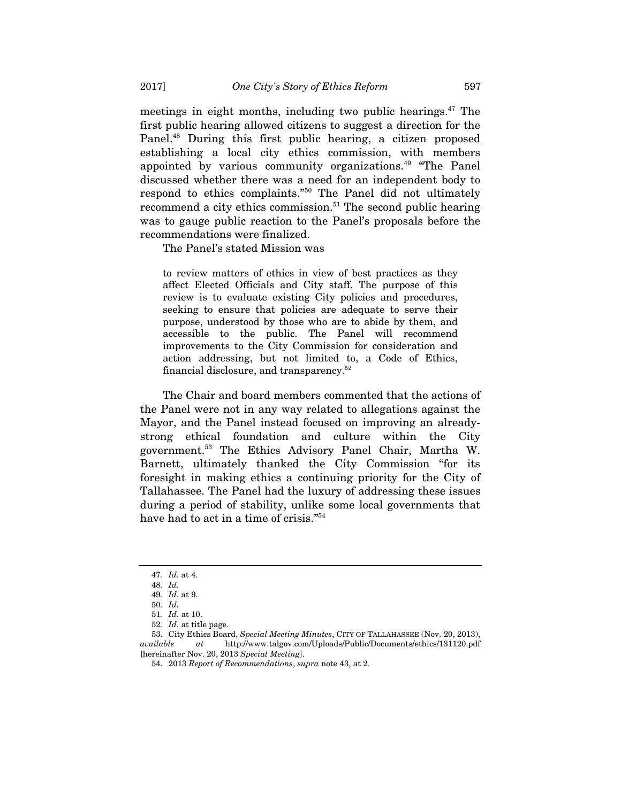meetings in eight months, including two public hearings. $47$  The first public hearing allowed citizens to suggest a direction for the Panel.48 During this first public hearing, a citizen proposed establishing a local city ethics commission, with members appointed by various community organizations.<sup>49</sup> "The Panel discussed whether there was a need for an independent body to respond to ethics complaints."50 The Panel did not ultimately recommend a city ethics commission.<sup>51</sup> The second public hearing was to gauge public reaction to the Panel's proposals before the recommendations were finalized.

The Panel's stated Mission was

to review matters of ethics in view of best practices as they affect Elected Officials and City staff. The purpose of this review is to evaluate existing City policies and procedures, seeking to ensure that policies are adequate to serve their purpose, understood by those who are to abide by them, and accessible to the public. The Panel will recommend improvements to the City Commission for consideration and action addressing, but not limited to, a Code of Ethics, financial disclosure, and transparency.52

The Chair and board members commented that the actions of the Panel were not in any way related to allegations against the Mayor, and the Panel instead focused on improving an alreadystrong ethical foundation and culture within the City government.53 The Ethics Advisory Panel Chair, Martha W. Barnett, ultimately thanked the City Commission "for its foresight in making ethics a continuing priority for the City of Tallahassee. The Panel had the luxury of addressing these issues during a period of stability, unlike some local governments that have had to act in a time of crisis."54

<sup>47</sup>*. Id.* at 4.

<sup>48</sup>*. Id.*  49*. Id.* at 9.

<sup>50</sup>*. Id.* 

<sup>51</sup>*. Id.* at 10.

<sup>52</sup>*. Id.* at title page.

 <sup>53.</sup> City Ethics Board, *Special Meeting Minutes*, CITY OF TALLAHASSEE (Nov. 20, 2013), *available at* http://www.talgov.com/Uploads/Public/Documents/ethics/131120.pdf [hereinafter Nov. 20, 2013 *Special Meeting*].

 <sup>54. 2013</sup> *Report of Recommendations*, *supra* note 43, at 2.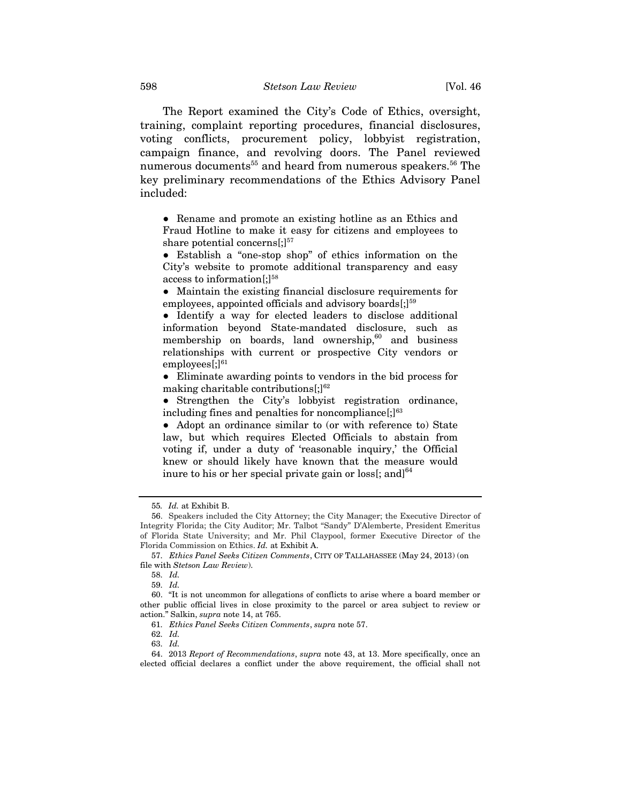The Report examined the City's Code of Ethics, oversight, training, complaint reporting procedures, financial disclosures, voting conflicts, procurement policy, lobbyist registration, campaign finance, and revolving doors. The Panel reviewed numerous documents<sup>55</sup> and heard from numerous speakers.<sup>56</sup> The key preliminary recommendations of the Ethics Advisory Panel included:

• Rename and promote an existing hotline as an Ethics and Fraud Hotline to make it easy for citizens and employees to share potential concerns $[$ ; $]$ <sup>57</sup>

● Establish a "one-stop shop" of ethics information on the City's website to promote additional transparency and easy access to information $[$ ; $]$ <sup>58</sup>

● Maintain the existing financial disclosure requirements for employees, appointed officials and advisory boards $[$ ; $]$ <sup>59</sup>

• Identify a way for elected leaders to disclose additional information beyond State-mandated disclosure, such as membership on boards, land ownership, $60$  and business relationships with current or prospective City vendors or  $employees$ ;] $61$ 

● Eliminate awarding points to vendors in the bid process for making charitable contributions $[$ ; $]$ <sup>62</sup>

• Strengthen the City's lobbyist registration ordinance, including fines and penalties for noncompliance $[;]^{63}$ 

• Adopt an ordinance similar to (or with reference to) State law, but which requires Elected Officials to abstain from voting if, under a duty of 'reasonable inquiry,' the Official knew or should likely have known that the measure would inure to his or her special private gain or loss[; and] $^{64}$ 

<sup>55</sup>*. Id.* at Exhibit B.

<sup>56.</sup> Speakers included the City Attorney; the City Manager; the Executive Director of Integrity Florida; the City Auditor; Mr. Talbot "Sandy" D'Alemberte, President Emeritus of Florida State University; and Mr. Phil Claypool, former Executive Director of the Florida Commission on Ethics. *Id.* at Exhibit A.

 <sup>57.</sup> *Ethics Panel Seeks Citizen Comments*, CITY OF TALLAHASSEE (May 24, 2013) (on file with *Stetson Law Review*).

 <sup>58.</sup> *Id.*

 <sup>59.</sup> *Id.*

 <sup>60. &</sup>quot;It is not uncommon for allegations of conflicts to arise where a board member or other public official lives in close proximity to the parcel or area subject to review or action." Salkin, *supra* note 14, at 765.

 <sup>61.</sup> *Ethics Panel Seeks Citizen Comments*, *supra* note 57.

 <sup>62.</sup> *Id.*

 <sup>63.</sup> *Id.*

 <sup>64. 2013</sup> *Report of Recommendations*, *supra* note 43, at 13. More specifically, once an elected official declares a conflict under the above requirement, the official shall not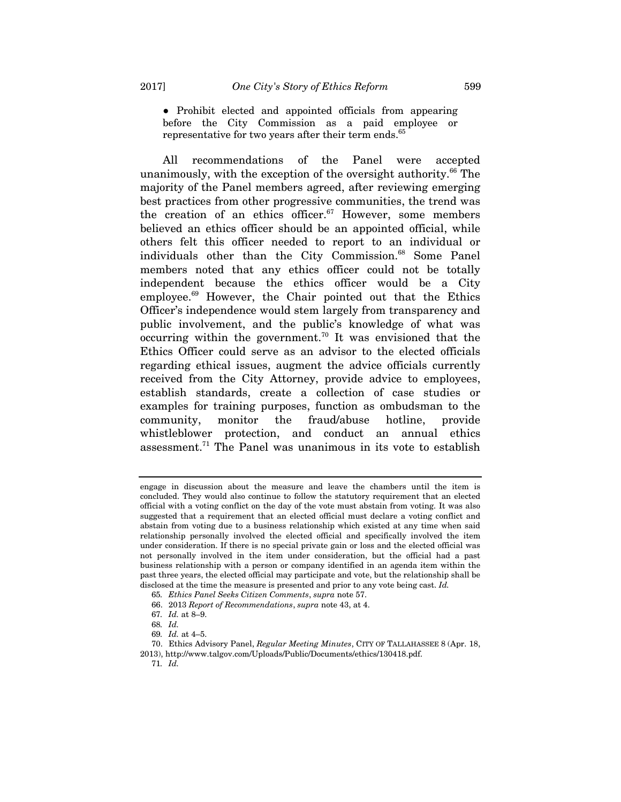● Prohibit elected and appointed officials from appearing before the City Commission as a paid employee or representative for two years after their term ends.<sup>65</sup>

All recommendations of the Panel were accepted unanimously, with the exception of the oversight authority.<sup>66</sup> The majority of the Panel members agreed, after reviewing emerging best practices from other progressive communities, the trend was the creation of an ethics officer. $67$  However, some members believed an ethics officer should be an appointed official, while others felt this officer needed to report to an individual or individuals other than the City Commission.<sup>68</sup> Some Panel members noted that any ethics officer could not be totally independent because the ethics officer would be a City employee.69 However, the Chair pointed out that the Ethics Officer's independence would stem largely from transparency and public involvement, and the public's knowledge of what was occurring within the government.<sup>70</sup> It was envisioned that the Ethics Officer could serve as an advisor to the elected officials regarding ethical issues, augment the advice officials currently received from the City Attorney, provide advice to employees, establish standards, create a collection of case studies or examples for training purposes, function as ombudsman to the community, monitor the fraud/abuse hotline, provide whistleblower protection, and conduct an annual ethics assessment.71 The Panel was unanimous in its vote to establish

engage in discussion about the measure and leave the chambers until the item is concluded. They would also continue to follow the statutory requirement that an elected official with a voting conflict on the day of the vote must abstain from voting. It was also suggested that a requirement that an elected official must declare a voting conflict and abstain from voting due to a business relationship which existed at any time when said relationship personally involved the elected official and specifically involved the item under consideration. If there is no special private gain or loss and the elected official was not personally involved in the item under consideration, but the official had a past business relationship with a person or company identified in an agenda item within the past three years, the elected official may participate and vote, but the relationship shall be disclosed at the time the measure is presented and prior to any vote being cast. *Id.* 

<sup>65</sup>*. Ethics Panel Seeks Citizen Comments*, *supra* note 57.

 <sup>66. 2013</sup> *Report of Recommendations*, *supra* note 43, at 4.

<sup>67</sup>*. Id.* at 8–9.

<sup>68</sup>*. Id.*

<sup>69</sup>*. Id.* at 4–5.

 <sup>70.</sup> Ethics Advisory Panel, *Regular Meeting Minutes*, CITY OF TALLAHASSEE 8 (Apr. 18, 2013), http://www.talgov.com/Uploads/Public/Documents/ethics/130418.pdf.

<sup>71</sup>*. Id.*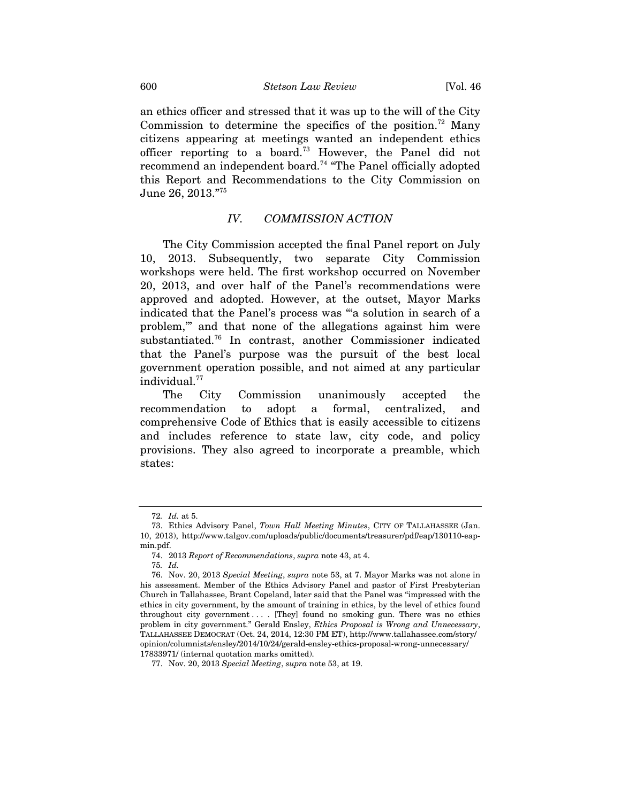an ethics officer and stressed that it was up to the will of the City Commission to determine the specifics of the position.<sup>72</sup> Many citizens appearing at meetings wanted an independent ethics officer reporting to a board.73 However, the Panel did not recommend an independent board.74 "The Panel officially adopted this Report and Recommendations to the City Commission on June 26, 2013."75

#### *IV. COMMISSION ACTION*

The City Commission accepted the final Panel report on July 10, 2013. Subsequently, two separate City Commission workshops were held. The first workshop occurred on November 20, 2013, and over half of the Panel's recommendations were approved and adopted. However, at the outset, Mayor Marks indicated that the Panel's process was "'a solution in search of a problem,'" and that none of the allegations against him were substantiated.76 In contrast, another Commissioner indicated that the Panel's purpose was the pursuit of the best local government operation possible, and not aimed at any particular individual.<sup>77</sup>

The City Commission unanimously accepted the recommendation to adopt a formal, centralized, and comprehensive Code of Ethics that is easily accessible to citizens and includes reference to state law, city code, and policy provisions. They also agreed to incorporate a preamble, which states:

<sup>72</sup>*. Id.* at 5.

 <sup>73.</sup> Ethics Advisory Panel, *Town Hall Meeting Minutes*, CITY OF TALLAHASSEE (Jan. 10, 2013), http://www.talgov.com/uploads/public/documents/treasurer/pdf/eap/130110-eapmin.pdf.

 <sup>74. 2013</sup> *Report of Recommendations*, *supra* note 43, at 4.

<sup>75</sup>*. Id.*

 <sup>76.</sup> Nov. 20, 2013 *Special Meeting*, *supra* note 53, at 7. Mayor Marks was not alone in his assessment. Member of the Ethics Advisory Panel and pastor of First Presbyterian Church in Tallahassee, Brant Copeland, later said that the Panel was "impressed with the ethics in city government, by the amount of training in ethics, by the level of ethics found throughout city government . . . . [They] found no smoking gun. There was no ethics problem in city government." Gerald Ensley, *Ethics Proposal is Wrong and Unnecessary*, TALLAHASSEE DEMOCRAT (Oct. 24, 2014, 12:30 PM ET), http://www.tallahassee.com/story/ opinion/columnists/ensley/2014/10/24/gerald-ensley-ethics-proposal-wrong-unnecessary/ 17833971/ (internal quotation marks omitted).

 <sup>77.</sup> Nov. 20, 2013 *Special Meeting*, *supra* note 53, at 19.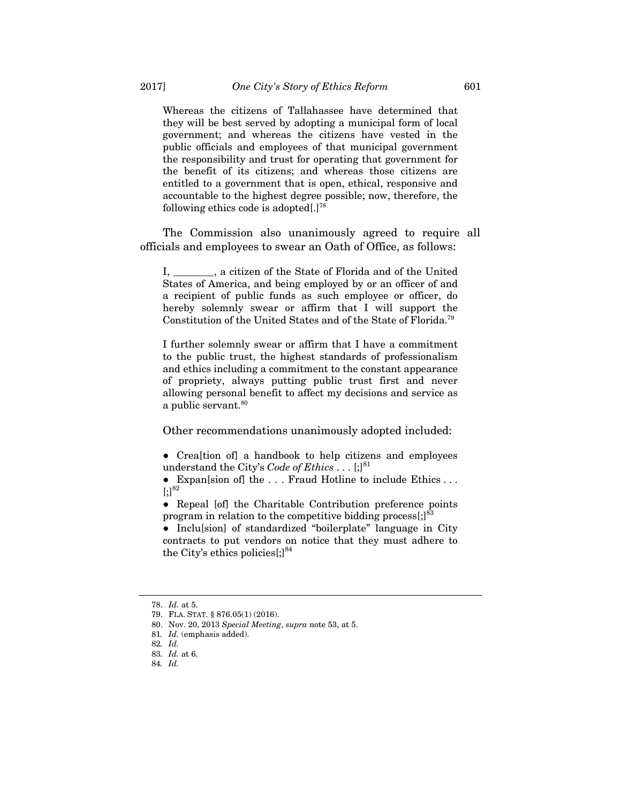Whereas the citizens of Tallahassee have determined that they will be best served by adopting a municipal form of local government; and whereas the citizens have vested in the public officials and employees of that municipal government the responsibility and trust for operating that government for the benefit of its citizens; and whereas those citizens are entitled to a government that is open, ethical, responsive and accountable to the highest degree possible; now, therefore, the following ethics code is adopted[.]78

The Commission also unanimously agreed to require all officials and employees to swear an Oath of Office, as follows:

I, \_\_\_\_\_\_\_\_, a citizen of the State of Florida and of the United States of America, and being employed by or an officer of and a recipient of public funds as such employee or officer, do hereby solemnly swear or affirm that I will support the Constitution of the United States and of the State of Florida.79

I further solemnly swear or affirm that I have a commitment to the public trust, the highest standards of professionalism and ethics including a commitment to the constant appearance of propriety, always putting public trust first and never allowing personal benefit to affect my decisions and service as a public servant.<sup>80</sup>

Other recommendations unanimously adopted included:

● Crea[tion of] a handbook to help citizens and employees understand the City's *Code of Ethics* . . .  $\left[\cdot\right]^{81}$ 

● Expan[sion of] the . . . Fraud Hotline to include Ethics . . .  $[;]^{82}$ 

● Repeal [of] the Charitable Contribution preference points program in relation to the competitive bidding process $\left[\cdot\right]^{83}$ 

● Inclu[sion] of standardized "boilerplate" language in City contracts to put vendors on notice that they must adhere to the City's ethics policies $[$ ; $]^{84}$ 

 <sup>78.</sup> *Id.* at 5.

 <sup>79.</sup> FLA. STAT. § 876.05(1) (2016).

 <sup>80.</sup> Nov. 20, 2013 *Special Meeting*, *supra* note 53, at 5.

<sup>81</sup>*. Id.* (emphasis added).

<sup>82</sup>*. Id.*

<sup>83</sup>*. Id.* at 6.

<sup>84</sup>*. Id.*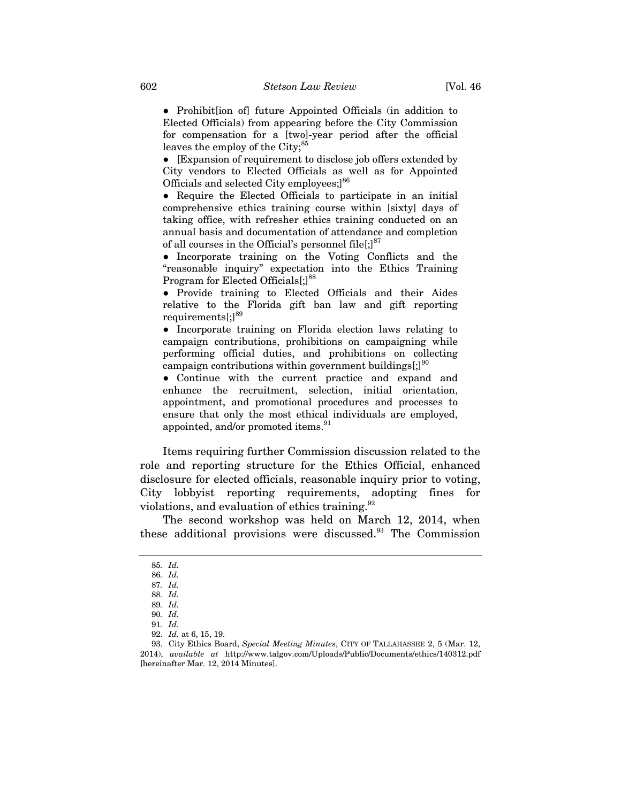● Prohibit[ion of] future Appointed Officials (in addition to Elected Officials) from appearing before the City Commission for compensation for a [two]-year period after the official leaves the employ of the City;<sup>85</sup>

● [Expansion of requirement to disclose job offers extended by City vendors to Elected Officials as well as for Appointed Officials and selected City employees;]<sup>86</sup>

● Require the Elected Officials to participate in an initial comprehensive ethics training course within [sixty] days of taking office, with refresher ethics training conducted on an annual basis and documentation of attendance and completion of all courses in the Official's personnel file $\left[\cdot\right]^{87}$ 

● Incorporate training on the Voting Conflicts and the "reasonable inquiry" expectation into the Ethics Training Program for Elected Officials<sup>[;]88</sup>

● Provide training to Elected Officials and their Aides relative to the Florida gift ban law and gift reporting requirements[;]<sup>89</sup>

● Incorporate training on Florida election laws relating to campaign contributions, prohibitions on campaigning while performing official duties, and prohibitions on collecting campaign contributions within government buildings $\left[\cdot\right]^{90}$ 

● Continue with the current practice and expand and enhance the recruitment, selection, initial orientation, appointment, and promotional procedures and processes to ensure that only the most ethical individuals are employed, appointed, and/or promoted items.<sup>91</sup>

Items requiring further Commission discussion related to the role and reporting structure for the Ethics Official, enhanced disclosure for elected officials, reasonable inquiry prior to voting, City lobbyist reporting requirements, adopting fines for violations, and evaluation of ethics training.<sup>92</sup>

The second workshop was held on March 12, 2014, when these additional provisions were discussed.93 The Commission

<sup>85</sup>*. Id.*

<sup>86</sup>*. Id.*

<sup>87</sup>*. Id.*

<sup>88</sup>*. Id.*  89*. Id.* 

<sup>90</sup>*. Id.* 

<sup>91</sup>*. Id.*

 <sup>92.</sup> *Id.* at 6, 15, 19.

 <sup>93.</sup> City Ethics Board, *Special Meeting Minutes*, CITY OF TALLAHASSEE 2, 5 (Mar. 12, 2014), *available at* http://www.talgov.com/Uploads/Public/Documents/ethics/140312.pdf [hereinafter Mar. 12, 2014 Minutes].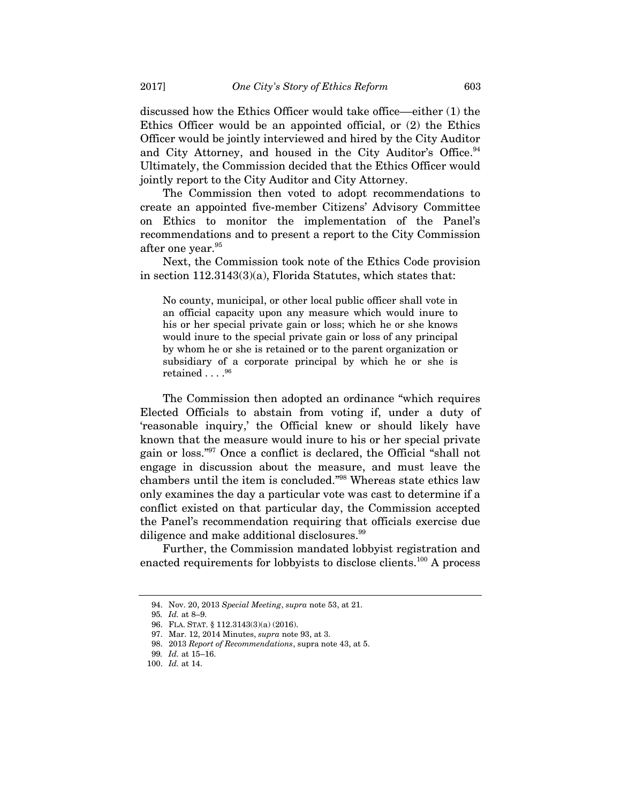discussed how the Ethics Officer would take office––either (1) the Ethics Officer would be an appointed official, or (2) the Ethics Officer would be jointly interviewed and hired by the City Auditor and City Attorney, and housed in the City Auditor's Office.<sup>94</sup> Ultimately, the Commission decided that the Ethics Officer would jointly report to the City Auditor and City Attorney.

The Commission then voted to adopt recommendations to create an appointed five-member Citizens' Advisory Committee on Ethics to monitor the implementation of the Panel's recommendations and to present a report to the City Commission after one year.<sup>95</sup>

Next, the Commission took note of the Ethics Code provision in section 112.3143(3)(a), Florida Statutes, which states that:

No county, municipal, or other local public officer shall vote in an official capacity upon any measure which would inure to his or her special private gain or loss; which he or she knows would inure to the special private gain or loss of any principal by whom he or she is retained or to the parent organization or subsidiary of a corporate principal by which he or she is retained . . . . 96

The Commission then adopted an ordinance "which requires Elected Officials to abstain from voting if, under a duty of 'reasonable inquiry,' the Official knew or should likely have known that the measure would inure to his or her special private gain or loss."97 Once a conflict is declared, the Official "shall not engage in discussion about the measure, and must leave the chambers until the item is concluded."98 Whereas state ethics law only examines the day a particular vote was cast to determine if a conflict existed on that particular day, the Commission accepted the Panel's recommendation requiring that officials exercise due diligence and make additional disclosures.<sup>99</sup>

Further, the Commission mandated lobbyist registration and enacted requirements for lobbyists to disclose clients.<sup>100</sup> A process

 <sup>94.</sup> Nov. 20, 2013 *Special Meeting*, *supra* note 53, at 21.

<sup>95</sup>*. Id.* at 8–9.

 <sup>96.</sup> FLA. STAT. § 112.3143(3)(a) (2016).

 <sup>97.</sup> Mar. 12, 2014 Minutes, *supra* note 93, at 3.

 <sup>98. 2013</sup> *Report of Recommendations*, supra note 43, at 5.

<sup>99</sup>*. Id.* at 15–16.

 <sup>100.</sup> *Id.* at 14.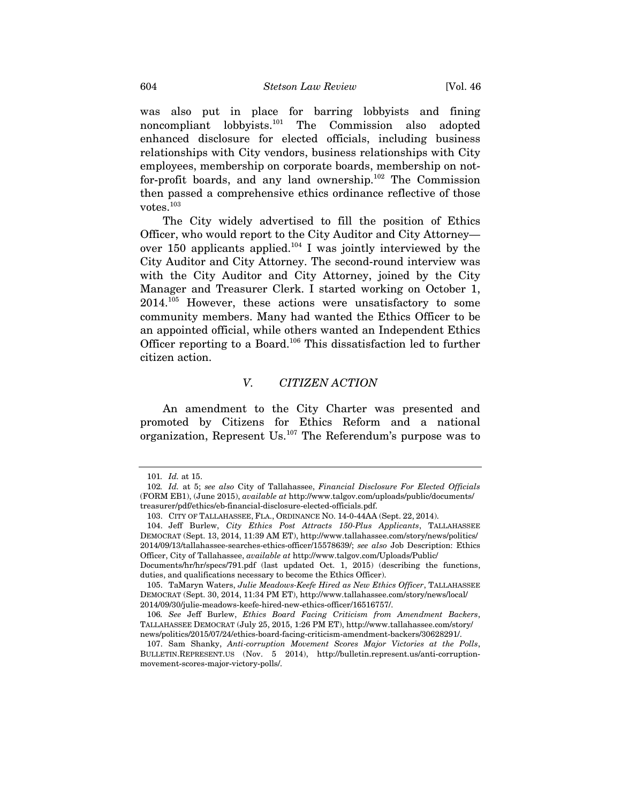was also put in place for barring lobbyists and fining noncompliant lobbyists.101 The Commission also adopted enhanced disclosure for elected officials, including business relationships with City vendors, business relationships with City employees, membership on corporate boards, membership on notfor-profit boards, and any land ownership. $102$  The Commission then passed a comprehensive ethics ordinance reflective of those votes.103

The City widely advertised to fill the position of Ethics Officer, who would report to the City Auditor and City Attorney over 150 applicants applied.<sup>104</sup> I was jointly interviewed by the City Auditor and City Attorney. The second-round interview was with the City Auditor and City Attorney, joined by the City Manager and Treasurer Clerk. I started working on October 1, 2014.105 However, these actions were unsatisfactory to some community members. Many had wanted the Ethics Officer to be an appointed official, while others wanted an Independent Ethics Officer reporting to a Board.106 This dissatisfaction led to further citizen action.

#### *V. CITIZEN ACTION*

An amendment to the City Charter was presented and promoted by Citizens for Ethics Reform and a national organization, Represent Us.107 The Referendum's purpose was to

<sup>101</sup>*. Id.* at 15.

<sup>102</sup>*. Id.* at 5; *see also* City of Tallahassee, *Financial Disclosure For Elected Officials* (FORM EB1), (June 2015), *available at* http://www.talgov.com/uploads/public/documents/ treasurer/pdf/ethics/eb-financial-disclosure-elected-officials.pdf.

 <sup>103.</sup> CITY OF TALLAHASSEE, FLA., ORDINANCE NO. 14-0-44AA (Sept. 22, 2014).

 <sup>104.</sup> Jeff Burlew, *City Ethics Post Attracts 150-Plus Applicants*, TALLAHASSEE DEMOCRAT (Sept. 13, 2014, 11:39 AM ET), http://www.tallahassee.com/story/news/politics/ 2014/09/13/tallahassee-searches-ethics-officer/15578639/; *see also* Job Description: Ethics Officer, City of Tallahassee, *available at* http://www.talgov.com/Uploads/Public/ Documents/hr/hr/specs/791.pdf (last updated Oct. 1, 2015) (describing the functions, duties, and qualifications necessary to become the Ethics Officer).

 <sup>105.</sup> TaMaryn Waters, *Julie Meadows-Keefe Hired as New Ethics Officer*, TALLAHASSEE DEMOCRAT (Sept. 30, 2014, 11:34 PM ET), http://www.tallahassee.com/story/news/local/ 2014/09/30/julie-meadows-keefe-hired-new-ethics-officer/16516757/.

<sup>106</sup>*. See* Jeff Burlew, *Ethics Board Facing Criticism from Amendment Backers*, TALLAHASSEE DEMOCRAT (July 25, 2015, 1:26 PM ET), http://www.tallahassee.com/story/ news/politics/2015/07/24/ethics-board-facing-criticism-amendment-backers/30628291/.

 <sup>107.</sup> Sam Shanky, *Anti-corruption Movement Scores Major Victories at the Polls*, BULLETIN.REPRESENT.US (Nov. 5 2014), http://bulletin.represent.us/anti-corruptionmovement-scores-major-victory-polls/.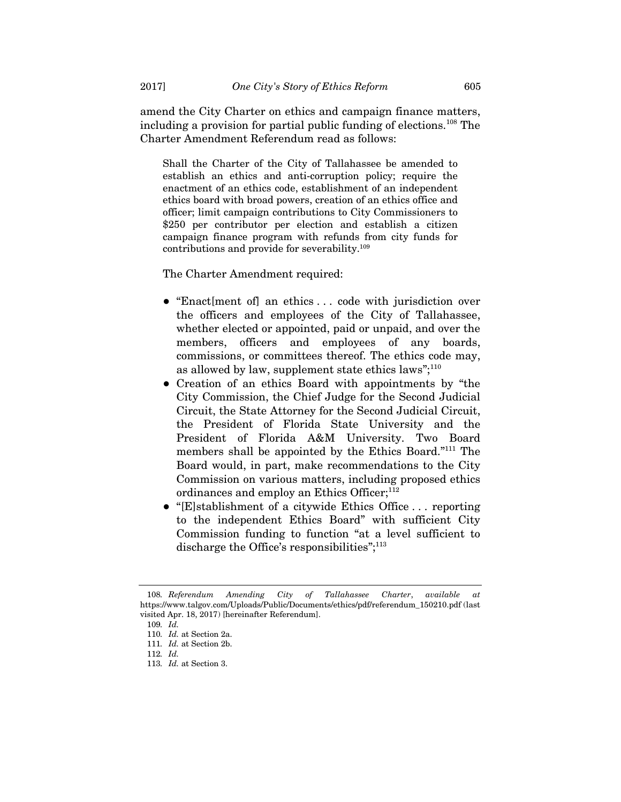amend the City Charter on ethics and campaign finance matters, including a provision for partial public funding of elections.108 The Charter Amendment Referendum read as follows:

Shall the Charter of the City of Tallahassee be amended to establish an ethics and anti-corruption policy; require the enactment of an ethics code, establishment of an independent ethics board with broad powers, creation of an ethics office and officer; limit campaign contributions to City Commissioners to \$250 per contributor per election and establish a citizen campaign finance program with refunds from city funds for contributions and provide for severability.109

The Charter Amendment required:

- "Enact [ment of] an ethics ... code with jurisdiction over the officers and employees of the City of Tallahassee, whether elected or appointed, paid or unpaid, and over the members, officers and employees of any boards, commissions, or committees thereof. The ethics code may, as allowed by law, supplement state ethics laws"; $^{110}$
- Creation of an ethics Board with appointments by "the City Commission, the Chief Judge for the Second Judicial Circuit, the State Attorney for the Second Judicial Circuit, the President of Florida State University and the President of Florida A&M University. Two Board members shall be appointed by the Ethics Board."111 The Board would, in part, make recommendations to the City Commission on various matters, including proposed ethics ordinances and employ an Ethics Officer; $^{112}$
- "[E]stablishment of a citywide Ethics Office . . . reporting to the independent Ethics Board" with sufficient City Commission funding to function "at a level sufficient to discharge the Office's responsibilities";<sup>113</sup>

<sup>108</sup>*. Referendum Amending City of Tallahassee Charter*, *available at*  https://www.talgov.com/Uploads/Public/Documents/ethics/pdf/referendum\_150210.pdf (last visited Apr. 18, 2017) [hereinafter Referendum].

<sup>109</sup>*. Id.*

<sup>110</sup>*. Id.* at Section 2a.

<sup>111</sup>*. Id.* at Section 2b.

<sup>112</sup>*. Id.*

<sup>113</sup>*. Id.* at Section 3.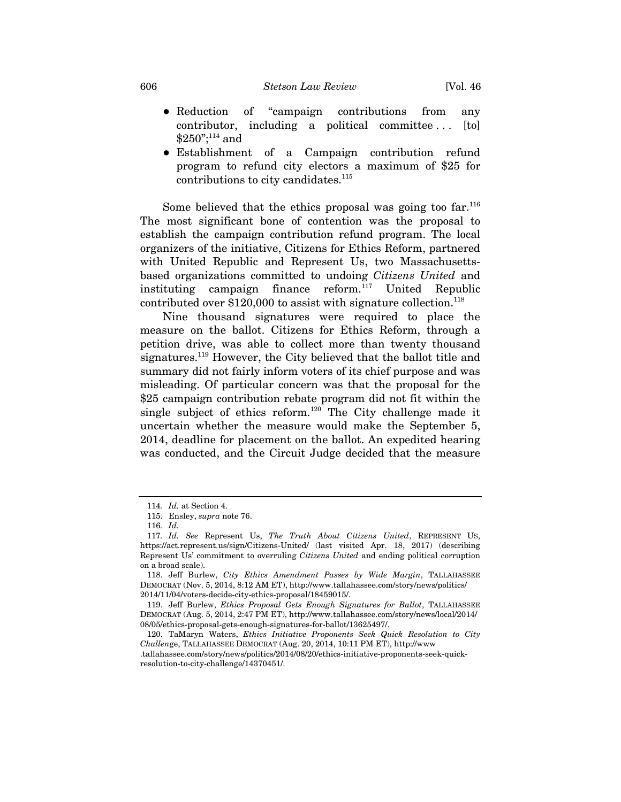- Reduction of "campaign contributions from any contributor, including a political committee . . . [to]  $$250$ ";<sup>114</sup> and
- Establishment of a Campaign contribution refund program to refund city electors a maximum of \$25 for contributions to city candidates.<sup>115</sup>

Some believed that the ethics proposal was going too far.<sup>116</sup> The most significant bone of contention was the proposal to establish the campaign contribution refund program. The local organizers of the initiative, Citizens for Ethics Reform, partnered with United Republic and Represent Us, two Massachusettsbased organizations committed to undoing *Citizens United* and instituting campaign finance reform.<sup>117</sup> United Republic contributed over  $$120,000$  to assist with signature collection.<sup>118</sup>

Nine thousand signatures were required to place the measure on the ballot. Citizens for Ethics Reform, through a petition drive, was able to collect more than twenty thousand signatures.<sup>119</sup> However, the City believed that the ballot title and summary did not fairly inform voters of its chief purpose and was misleading. Of particular concern was that the proposal for the \$25 campaign contribution rebate program did not fit within the single subject of ethics reform.<sup>120</sup> The City challenge made it uncertain whether the measure would make the September 5, 2014, deadline for placement on the ballot. An expedited hearing was conducted, and the Circuit Judge decided that the measure

.tallahassee.com/story/news/politics/2014/08/20/ethics-initiative-proponents-seek-quickresolution-to-city-challenge/14370451/.

<sup>114</sup>*. Id.* at Section 4.

 <sup>115.</sup> Ensley, *supra* note 76.

<sup>116</sup>*. Id.*

<sup>117</sup>*. Id. See* Represent Us, *The Truth About Citizens United*, REPRESENT US, https://act.represent.us/sign/Citizens-United/ (last visited Apr. 18, 2017) (describing Represent Us' commitment to overruling *Citizens United* and ending political corruption on a broad scale).

 <sup>118.</sup> Jeff Burlew, *City Ethics Amendment Passes by Wide Margin*, TALLAHASSEE DEMOCRAT (Nov. 5, 2014, 8:12 AM ET), http://www.tallahassee.com/story/news/politics/ 2014/11/04/voters-decide-city-ethics-proposal/18459015/.

 <sup>119.</sup> Jeff Burlew, *Ethics Proposal Gets Enough Signatures for Ballot*, TALLAHASSEE DEMOCRAT (Aug. 5, 2014, 2:47 PM ET), http://www.tallahassee.com/story/news/local/2014/ 08/05/ethics-proposal-gets-enough-signatures-for-ballot/13625497/.

 <sup>120.</sup> TaMaryn Waters, *Ethics Initiative Proponents Seek Quick Resolution to City Challen*ge, TALLAHASSEE DEMOCRAT (Aug. 20, 2014, 10:11 PM ET), http://www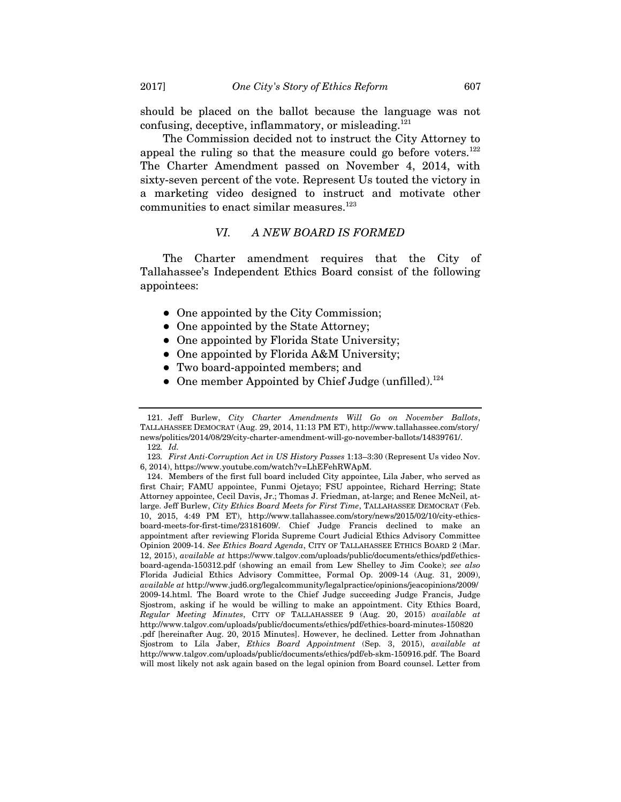should be placed on the ballot because the language was not confusing, deceptive, inflammatory, or misleading.<sup>121</sup>

The Commission decided not to instruct the City Attorney to appeal the ruling so that the measure could go before voters.<sup>122</sup> The Charter Amendment passed on November 4, 2014, with sixty-seven percent of the vote. Represent Us touted the victory in a marketing video designed to instruct and motivate other communities to enact similar measures.<sup>123</sup>

#### *VI. A NEW BOARD IS FORMED*

The Charter amendment requires that the City of Tallahassee's Independent Ethics Board consist of the following appointees:

- One appointed by the City Commission;
- One appointed by the State Attorney;
- One appointed by Florida State University;
- One appointed by Florida A&M University;
- Two board-appointed members; and
- One member Appointed by Chief Judge (unfilled).<sup>124</sup>

 <sup>121.</sup> Jeff Burlew, *City Charter Amendments Will Go on November Ballots*, TALLAHASSEE DEMOCRAT (Aug. 29, 2014, 11:13 PM ET), http://www.tallahassee.com/story/ news/politics/2014/08/29/city-charter-amendment-will-go-november-ballots/14839761/. 122*. Id.*

<sup>123</sup>*. First Anti-Corruption Act in US History Passes* 1:13–3:30 (Represent Us video Nov. 6, 2014), https://www.youtube.com/watch?v=LhEFehRWApM.

 <sup>124.</sup> Members of the first full board included City appointee, Lila Jaber, who served as first Chair; FAMU appointee, Funmi Ojetayo; FSU appointee, Richard Herring; State Attorney appointee, Cecil Davis, Jr.; Thomas J. Friedman, at-large; and Renee McNeil, atlarge. Jeff Burlew, *City Ethics Board Meets for First Time*, TALLAHASSEE DEMOCRAT (Feb. 10, 2015, 4:49 PM ET), http://www.tallahassee.com/story/news/2015/02/10/city-ethicsboard-meets-for-first-time/23181609/. Chief Judge Francis declined to make an appointment after reviewing Florida Supreme Court Judicial Ethics Advisory Committee Opinion 2009-14. *See Ethics Board Agenda*, CITY OF TALLAHASSEE ETHICS BOARD 2 (Mar. 12, 2015), *available at* https://www.talgov.com/uploads/public/documents/ethics/pdf/ethicsboard-agenda-150312.pdf (showing an email from Lew Shelley to Jim Cooke); *see also* Florida Judicial Ethics Advisory Committee, Formal Op. 2009-14 (Aug. 31, 2009), *available at* http://www.jud6.org/legalcommunity/legalpractice/opinions/jeacopinions/2009/ 2009-14.html. The Board wrote to the Chief Judge succeeding Judge Francis, Judge Sjostrom, asking if he would be willing to make an appointment. City Ethics Board, *Regular Meeting Minutes*, CITY OF TALLAHASSEE 9 (Aug. 20, 2015) *available at*  http://www.talgov.com/uploads/public/documents/ethics/pdf/ethics-board-minutes-150820 .pdf [hereinafter Aug. 20, 2015 Minutes]. However, he declined. Letter from Johnathan Sjostrom to Lila Jaber, *Ethics Board Appointment* (Sep. 3, 2015), *available at*  http://www.talgov.com/uploads/public/documents/ethics/pdf/eb-skm-150916.pdf. The Board will most likely not ask again based on the legal opinion from Board counsel. Letter from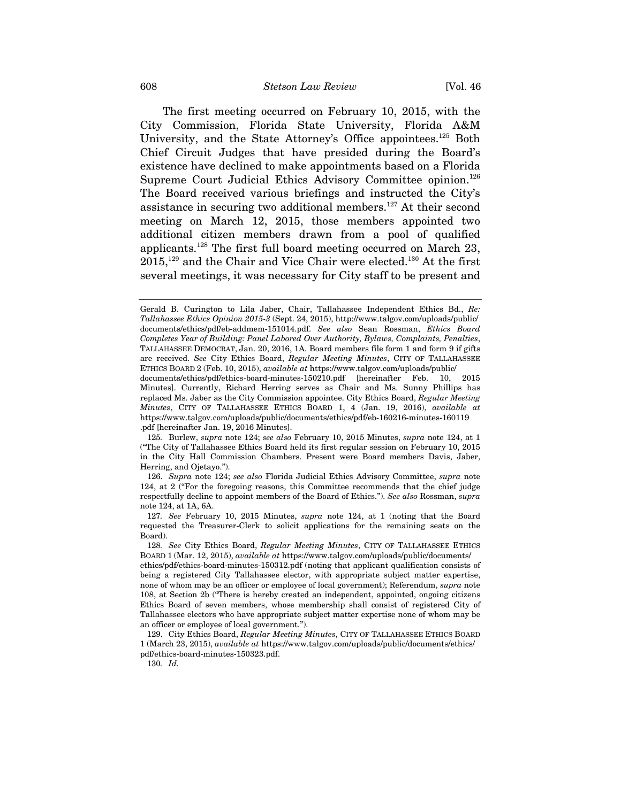The first meeting occurred on February 10, 2015, with the City Commission, Florida State University, Florida A&M University, and the State Attorney's Office appointees.<sup>125</sup> Both Chief Circuit Judges that have presided during the Board's existence have declined to make appointments based on a Florida Supreme Court Judicial Ethics Advisory Committee opinion.<sup>126</sup> The Board received various briefings and instructed the City's assistance in securing two additional members.<sup>127</sup> At their second meeting on March 12, 2015, those members appointed two additional citizen members drawn from a pool of qualified applicants.128 The first full board meeting occurred on March 23,  $2015$ ,<sup>129</sup> and the Chair and Vice Chair were elected.<sup>130</sup> At the first several meetings, it was necessary for City staff to be present and

130*. Id.*

Gerald B. Curington to Lila Jaber, Chair, Tallahassee Independent Ethics Bd., *Re: Tallahassee Ethics Opinion 2015-3* (Sept. 24, 2015), http://www.talgov.com/uploads/public/ documents/ethics/pdf/eb-addmem-151014.pdf. *See also* Sean Rossman, *Ethics Board Completes Year of Building: Panel Labored Over Authority, Bylaws, Complaints, Penalties*, TALLAHASSEE DEMOCRAT, Jan. 20, 2016, 1A. Board members file form 1 and form 9 if gifts are received. *See* City Ethics Board, *Regular Meeting Minutes*, CITY OF TALLAHASSEE ETHICS BOARD 2 (Feb. 10, 2015), *available at* https://www.talgov.com/uploads/public/ documents/ethics/pdf/ethics-board-minutes-150210.pdf [hereinafter Feb. 10, 2015

Minutes]. Currently, Richard Herring serves as Chair and Ms. Sunny Phillips has replaced Ms. Jaber as the City Commission appointee. City Ethics Board, *Regular Meeting Minutes*, CITY OF TALLAHASSEE ETHICS BOARD 1, 4 (Jan. 19, 2016), *available at*  https://www.talgov.com/uploads/public/documents/ethics/pdf/eb-160216-minutes-160119 .pdf [hereinafter Jan. 19, 2016 Minutes].

<sup>125</sup>*.* Burlew, *supra* note 124; *see also* February 10, 2015 Minutes, *supra* note 124, at 1 ("The City of Tallahassee Ethics Board held its first regular session on February 10, 2015 in the City Hall Commission Chambers. Present were Board members Davis, Jaber, Herring, and Ojetayo.").

 <sup>126.</sup> *Supra* note 124; *see also* Florida Judicial Ethics Advisory Committee, *supra* note 124, at 2 ("For the foregoing reasons, this Committee recommends that the chief judge respectfully decline to appoint members of the Board of Ethics."). *See also* Rossman, *supra*  note 124, at 1A, 6A.

<sup>127</sup>*. See* February 10, 2015 Minutes, *supra* note 124, at 1 (noting that the Board requested the Treasurer-Clerk to solicit applications for the remaining seats on the Board).

<sup>128</sup>*. See* City Ethics Board, *Regular Meeting Minutes*, CITY OF TALLAHASSEE ETHICS BOARD 1 (Mar. 12, 2015), *available at* https://www.talgov.com/uploads/public/documents/

ethics/pdf/ethics-board-minutes-150312.pdf (noting that applicant qualification consists of being a registered City Tallahassee elector, with appropriate subject matter expertise, none of whom may be an officer or employee of local government); Referendum, *supra* note 108, at Section 2b ("There is hereby created an independent, appointed, ongoing citizens Ethics Board of seven members, whose membership shall consist of registered City of Tallahassee electors who have appropriate subject matter expertise none of whom may be an officer or employee of local government.").

 <sup>129.</sup> City Ethics Board, *Regular Meeting Minutes*, CITY OF TALLAHASSEE ETHICS BOARD 1 (March 23, 2015), *available at* https://www.talgov.com/uploads/public/documents/ethics/ pdf/ethics-board-minutes-150323.pdf.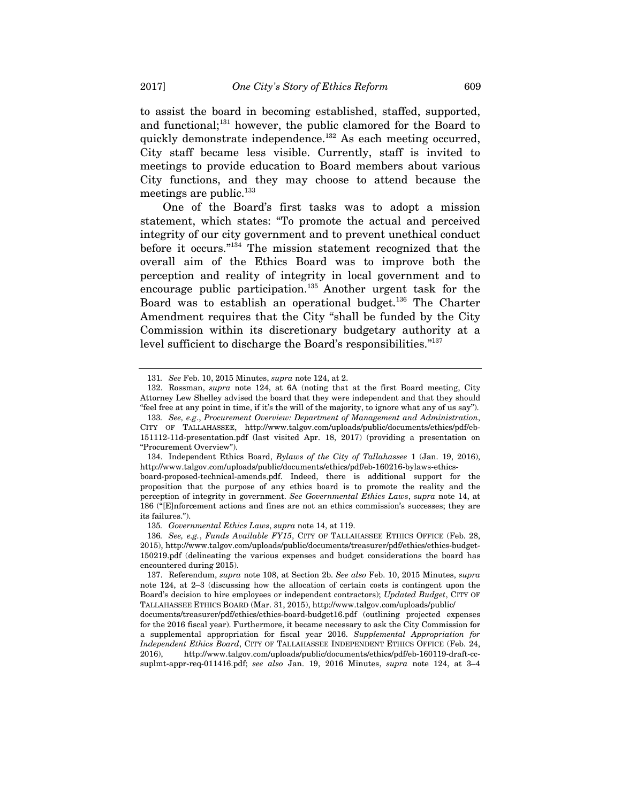to assist the board in becoming established, staffed, supported, and functional;<sup>131</sup> however, the public clamored for the Board to quickly demonstrate independence.<sup>132</sup> As each meeting occurred, City staff became less visible. Currently, staff is invited to meetings to provide education to Board members about various City functions, and they may choose to attend because the meetings are public.<sup>133</sup>

One of the Board's first tasks was to adopt a mission statement, which states: "To promote the actual and perceived integrity of our city government and to prevent unethical conduct before it occurs."134 The mission statement recognized that the overall aim of the Ethics Board was to improve both the perception and reality of integrity in local government and to encourage public participation.<sup>135</sup> Another urgent task for the Board was to establish an operational budget.<sup>136</sup> The Charter Amendment requires that the City "shall be funded by the City Commission within its discretionary budgetary authority at a level sufficient to discharge the Board's responsibilities."137

<sup>131</sup>*. See* Feb. 10, 2015 Minutes, *supra* note 124, at 2.

 <sup>132.</sup> Rossman, *supra* note 124, at 6A (noting that at the first Board meeting, City Attorney Lew Shelley advised the board that they were independent and that they should "feel free at any point in time, if it's the will of the majority, to ignore what any of us say").

<sup>133</sup>*. See, e.g*., *Procurement Overview: Department of Management and Administration*, CITY OF TALLAHASSEE, http://www.talgov.com/uploads/public/documents/ethics/pdf/eb-151112-11d-presentation.pdf (last visited Apr. 18, 2017) (providing a presentation on "Procurement Overview").

 <sup>134.</sup> Independent Ethics Board, *Bylaws of the City of Tallahassee* 1 (Jan. 19, 2016), http://www.talgov.com/uploads/public/documents/ethics/pdf/eb-160216-bylaws-ethics-

board-proposed-technical-amends.pdf. Indeed, there is additional support for the proposition that the purpose of any ethics board is to promote the reality and the perception of integrity in government. *See Governmental Ethics Laws*, *supra* note 14, at 186 ("[E]nforcement actions and fines are not an ethics commission's successes; they are its failures.").

<sup>135</sup>*. Governmental Ethics Laws*, *supra* note 14, at 119.

<sup>136</sup>*. See, e.g.*, *Funds Available FY15*, CITY OF TALLAHASSEE ETHICS OFFICE (Feb. 28, 2015), http://www.talgov.com/uploads/public/documents/treasurer/pdf/ethics/ethics-budget-150219.pdf (delineating the various expenses and budget considerations the board has encountered during 2015).

 <sup>137.</sup> Referendum, *supra* note 108, at Section 2b. *See also* Feb. 10, 2015 Minutes, *supra*  note 124, at 2–3 (discussing how the allocation of certain costs is contingent upon the Board's decision to hire employees or independent contractors); *Updated Budget*, CITY OF TALLAHASSEE ETHICS BOARD (Mar. 31, 2015), http://www.talgov.com/uploads/public/

documents/treasurer/pdf/ethics/ethics-board-budget16.pdf (outlining projected expenses for the 2016 fiscal year). Furthermore, it became necessary to ask the City Commission for a supplemental appropriation for fiscal year 2016. *Supplemental Appropriation for Independent Ethics Board*, CITY OF TALLAHASSEE INDEPENDENT ETHICS OFFICE (Feb. 24, 2016), http://www.talgov.com/uploads/public/documents/ethics/pdf/eb-160119-draft-ccsuplmt-appr-req-011416.pdf; *see also* Jan. 19, 2016 Minutes, *supra* note 124, at 3–4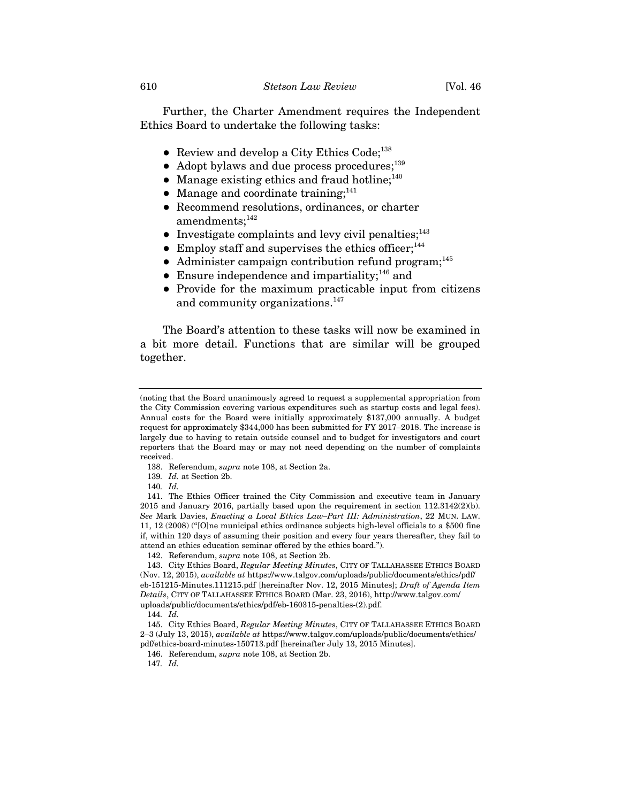Further, the Charter Amendment requires the Independent Ethics Board to undertake the following tasks:

- Review and develop a City Ethics Code; $^{138}$
- Adopt bylaws and due process procedures;<sup>139</sup>
- Manage existing ethics and fraud hotline; $^{140}$
- Manage and coordinate training; $^{141}$
- Recommend resolutions, ordinances, or charter  $amendments;$ <sup>142</sup>
- $\bullet$  Investigate complaints and levy civil penalties;<sup>143</sup>
- $\bullet$  Employ staff and supervises the ethics officer:<sup>144</sup>
- $\bullet$  Administer campaign contribution refund program;<sup>145</sup>
- **•** Ensure independence and impartiality;<sup>146</sup> and
- Provide for the maximum practicable input from citizens and community organizations.<sup>147</sup>

The Board's attention to these tasks will now be examined in a bit more detail. Functions that are similar will be grouped together.

<sup>(</sup>noting that the Board unanimously agreed to request a supplemental appropriation from the City Commission covering various expenditures such as startup costs and legal fees). Annual costs for the Board were initially approximately \$137,000 annually. A budget request for approximately \$344,000 has been submitted for FY 2017–2018. The increase is largely due to having to retain outside counsel and to budget for investigators and court reporters that the Board may or may not need depending on the number of complaints received.

 <sup>138.</sup> Referendum, *supra* note 108, at Section 2a.

<sup>139</sup>*. Id.* at Section 2b.

<sup>140</sup>*. Id.* 

 <sup>141.</sup> The Ethics Officer trained the City Commission and executive team in January 2015 and January 2016, partially based upon the requirement in section 112.3142(2)(b). *See* Mark Davies, *Enacting a Local Ethics Law–Part III: Administration*, 22 MUN. LAW. 11, 12 (2008) ("[O]ne municipal ethics ordinance subjects high-level officials to a \$500 fine if, within 120 days of assuming their position and every four years thereafter, they fail to attend an ethics education seminar offered by the ethics board.").

 <sup>142.</sup> Referendum, *supra* note 108, at Section 2b.

 <sup>143.</sup> City Ethics Board, *Regular Meeting Minutes*, CITY OF TALLAHASSEE ETHICS BOARD (Nov. 12, 2015), *available at* https://www.talgov.com/uploads/public/documents/ethics/pdf/ eb-151215-Minutes.111215.pdf [hereinafter Nov. 12, 2015 Minutes]; *Draft of Agenda Item Details*, CITY OF TALLAHASSEE ETHICS BOARD (Mar. 23, 2016), http://www.talgov.com/ uploads/public/documents/ethics/pdf/eb-160315-penalties-(2).pdf.

<sup>144</sup>*. Id.* 

 <sup>145.</sup> City Ethics Board, *Regular Meeting Minutes*, CITY OF TALLAHASSEE ETHICS BOARD 2–3 (July 13, 2015), *available at* https://www.talgov.com/uploads/public/documents/ethics/ pdf/ethics-board-minutes-150713.pdf [hereinafter July 13, 2015 Minutes].

 <sup>146.</sup> Referendum, *supra* note 108, at Section 2b.

<sup>147</sup>*. Id.*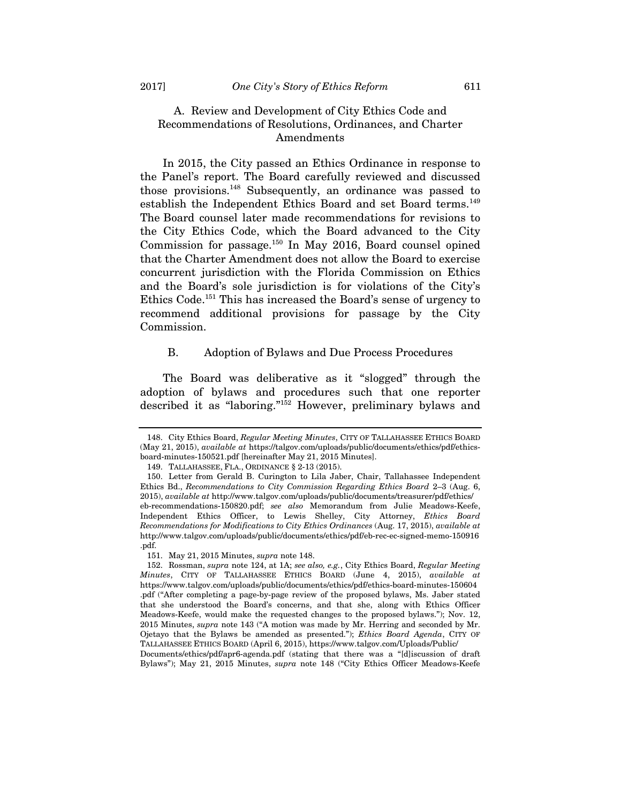## A. Review and Development of City Ethics Code and Recommendations of Resolutions, Ordinances, and Charter Amendments

In 2015, the City passed an Ethics Ordinance in response to the Panel's report. The Board carefully reviewed and discussed those provisions.148 Subsequently, an ordinance was passed to establish the Independent Ethics Board and set Board terms.<sup>149</sup> The Board counsel later made recommendations for revisions to the City Ethics Code, which the Board advanced to the City Commission for passage.150 In May 2016, Board counsel opined that the Charter Amendment does not allow the Board to exercise concurrent jurisdiction with the Florida Commission on Ethics and the Board's sole jurisdiction is for violations of the City's Ethics Code.151 This has increased the Board's sense of urgency to recommend additional provisions for passage by the City Commission.

## B. Adoption of Bylaws and Due Process Procedures

The Board was deliberative as it "slogged" through the adoption of bylaws and procedures such that one reporter described it as "laboring."152 However, preliminary bylaws and

Documents/ethics/pdf/apr6-agenda.pdf (stating that there was a "[d]iscussion of draft Bylaws"); May 21, 2015 Minutes, *supra* note 148 ("City Ethics Officer Meadows-Keefe

 <sup>148.</sup> City Ethics Board, *Regular Meeting Minutes*, CITY OF TALLAHASSEE ETHICS BOARD (May 21, 2015), *available at* https://talgov.com/uploads/public/documents/ethics/pdf/ethicsboard-minutes-150521.pdf [hereinafter May 21, 2015 Minutes].

 <sup>149.</sup> TALLAHASSEE, FLA., ORDINANCE § 2-13 (2015).

 <sup>150.</sup> Letter from Gerald B. Curington to Lila Jaber, Chair, Tallahassee Independent Ethics Bd., *Recommendations to City Commission Regarding Ethics Board* 2–3 (Aug. 6, 2015), *available at* http://www.talgov.com/uploads/public/documents/treasurer/pdf/ethics/ eb-recommendations-150820.pdf; *see also* Memorandum from Julie Meadows-Keefe, Independent Ethics Officer, to Lewis Shelley, City Attorney, *Ethics Board Recommendations for Modifications to City Ethics Ordinances* (Aug. 17, 2015), *available at*  http://www.talgov.com/uploads/public/documents/ethics/pdf/eb-rec-ec-signed-memo-150916 .pdf.

 <sup>151.</sup> May 21, 2015 Minutes, *supra* note 148.

 <sup>152.</sup> Rossman, *supra* note 124, at 1A; *see also, e.g.*, City Ethics Board, *Regular Meeting Minutes*, CITY OF TALLAHASSEE ETHICS BOARD (June 4, 2015), *available at*  https://www.talgov.com/uploads/public/documents/ethics/pdf/ethics-board-minutes-150604 .pdf ("After completing a page-by-page review of the proposed bylaws, Ms. Jaber stated that she understood the Board's concerns, and that she, along with Ethics Officer Meadows-Keefe, would make the requested changes to the proposed bylaws."); Nov. 12, 2015 Minutes, *supra* note 143 ("A motion was made by Mr. Herring and seconded by Mr. Ojetayo that the Bylaws be amended as presented."); *Ethics Board Agenda*, CITY OF TALLAHASSEE ETHICS BOARD (April 6, 2015), https://www.talgov.com/Uploads/Public/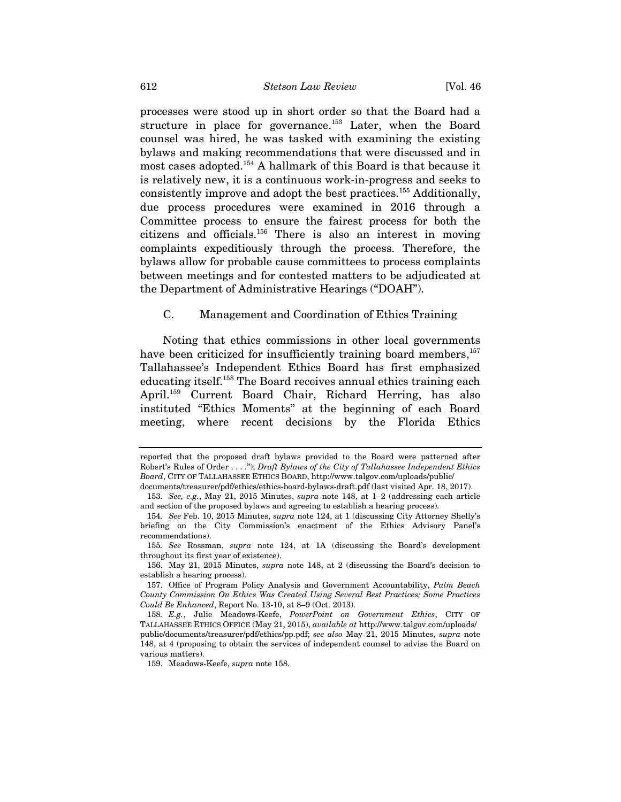processes were stood up in short order so that the Board had a structure in place for governance.<sup>153</sup> Later, when the Board counsel was hired, he was tasked with examining the existing bylaws and making recommendations that were discussed and in most cases adopted.154 A hallmark of this Board is that because it is relatively new, it is a continuous work-in-progress and seeks to consistently improve and adopt the best practices.155 Additionally, due process procedures were examined in 2016 through a Committee process to ensure the fairest process for both the citizens and officials.156 There is also an interest in moving complaints expeditiously through the process. Therefore, the bylaws allow for probable cause committees to process complaints between meetings and for contested matters to be adjudicated at the Department of Administrative Hearings ("DOAH").

#### C. Management and Coordination of Ethics Training

Noting that ethics commissions in other local governments have been criticized for insufficiently training board members,<sup>157</sup> Tallahassee's Independent Ethics Board has first emphasized educating itself.158 The Board receives annual ethics training each April.159 Current Board Chair, Richard Herring, has also instituted "Ethics Moments" at the beginning of each Board meeting, where recent decisions by the Florida Ethics

reported that the proposed draft bylaws provided to the Board were patterned after Robert's Rules of Order . . . ."); *Draft Bylaws of the City of Tallahassee Independent Ethics Board*, CITY OF TALLAHASSEE ETHICS BOARD, http://www.talgov.com/uploads/public/ documents/treasurer/pdf/ethics/ethics-board-bylaws-draft.pdf (last visited Apr. 18, 2017).

<sup>153</sup>*. See, e.g.*, May 21, 2015 Minutes, *supra* note 148, at 1–2 (addressing each article and section of the proposed bylaws and agreeing to establish a hearing process).

<sup>154</sup>*. See* Feb. 10, 2015 Minutes, *supra* note 124, at 1 (discussing City Attorney Shelly's briefing on the City Commission's enactment of the Ethics Advisory Panel's recommendations).

<sup>155</sup>*. See* Rossman, *supra* note 124, at 1A (discussing the Board's development throughout its first year of existence).

 <sup>156.</sup> May 21, 2015 Minutes, *supra* note 148, at 2 (discussing the Board's decision to establish a hearing process).

 <sup>157.</sup> Office of Program Policy Analysis and Government Accountability, *Palm Beach County Commission On Ethics Was Created Using Several Best Practices; Some Practices Could Be Enhanced*, Report No. 13-10, at 8–9 (Oct. 2013).

<sup>158</sup>*. E.g.*, Julie Meadows-Keefe, *PowerPoint on Government Ethics*, CITY OF TALLAHASSEE ETHICS OFFICE (May 21, 2015), *available at* http://www.talgov.com/uploads/ public/documents/treasurer/pdf/ethics/pp.pdf; *see also* May 21, 2015 Minutes, *supra* note 148, at 4 (proposing to obtain the services of independent counsel to advise the Board on various matters).

 <sup>159.</sup> Meadows-Keefe, *supra* note 158.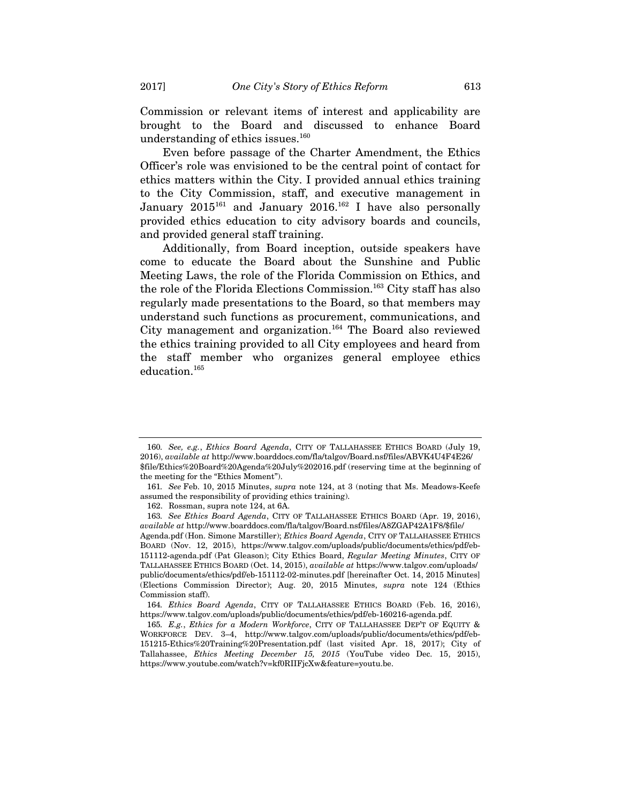Commission or relevant items of interest and applicability are brought to the Board and discussed to enhance Board understanding of ethics issues.<sup>160</sup>

Even before passage of the Charter Amendment, the Ethics Officer's role was envisioned to be the central point of contact for ethics matters within the City. I provided annual ethics training to the City Commission, staff, and executive management in January  $2015^{161}$  and January  $2016^{162}$  I have also personally provided ethics education to city advisory boards and councils, and provided general staff training.

Additionally, from Board inception, outside speakers have come to educate the Board about the Sunshine and Public Meeting Laws, the role of the Florida Commission on Ethics, and the role of the Florida Elections Commission.<sup>163</sup> City staff has also regularly made presentations to the Board, so that members may understand such functions as procurement, communications, and City management and organization.164 The Board also reviewed the ethics training provided to all City employees and heard from the staff member who organizes general employee ethics education.165

<sup>160</sup>*. See, e.g.*, *Ethics Board Agenda*, CITY OF TALLAHASSEE ETHICS BOARD (July 19, 2016), *available at* http://www.boarddocs.com/fla/talgov/Board.nsf/files/ABVK4U4F4E26/ \$file/Ethics%20Board%20Agenda%20July%202016.pdf (reserving time at the beginning of the meeting for the "Ethics Moment").

<sup>161</sup>*. See* Feb. 10, 2015 Minutes, *supra* note 124, at 3 (noting that Ms. Meadows-Keefe assumed the responsibility of providing ethics training).

 <sup>162.</sup> Rossman, supra note 124, at 6A.

<sup>163</sup>*. See Ethics Board Agenda*, CITY OF TALLAHASSEE ETHICS BOARD (Apr. 19, 2016), *available at* http://www.boarddocs.com/fla/talgov/Board.nsf/files/A8ZGAP42A1F8/\$file/ Agenda.pdf (Hon. Simone Marstiller); *Ethics Board Agenda*, CITY OF TALLAHASSEE ETHICS BOARD (Nov. 12, 2015), https://www.talgov.com/uploads/public/documents/ethics/pdf/eb-151112-agenda.pdf (Pat Gleason); City Ethics Board, *Regular Meeting Minutes*, CITY OF TALLAHASSEE ETHICS BOARD (Oct. 14, 2015), *available at* https://www.talgov.com/uploads/ public/documents/ethics/pdf/eb-151112-02-minutes.pdf [hereinafter Oct. 14, 2015 Minutes] (Elections Commission Director); Aug. 20, 2015 Minutes, *supra* note 124 (Ethics Commission staff).

<sup>164</sup>*. Ethics Board Agenda*, CITY OF TALLAHASSEE ETHICS BOARD (Feb. 16, 2016), https://www.talgov.com/uploads/public/documents/ethics/pdf/eb-160216-agenda.pdf.

<sup>165</sup>*. E.g.*, *Ethics for a Modern Workforce*, CITY OF TALLAHASSEE DEP'T OF EQUITY & WORKFORCE DEV. 3–4, http://www.talgov.com/uploads/public/documents/ethics/pdf/eb-151215-Ethics%20Training%20Presentation.pdf (last visited Apr. 18, 2017); City of Tallahassee, *Ethics Meeting December 15, 2015* (YouTube video Dec. 15, 2015), https://www.youtube.com/watch?v=kf0RIIFjcXw&feature=youtu.be.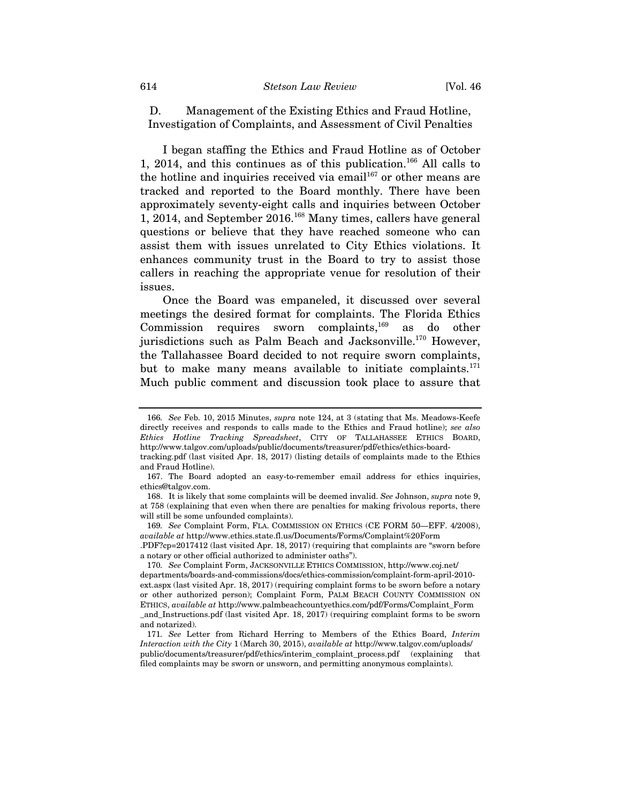D. Management of the Existing Ethics and Fraud Hotline, Investigation of Complaints, and Assessment of Civil Penalties

I began staffing the Ethics and Fraud Hotline as of October 1, 2014, and this continues as of this publication.<sup>166</sup> All calls to the hotline and inquiries received via email $1^{167}$  or other means are tracked and reported to the Board monthly. There have been approximately seventy-eight calls and inquiries between October 1, 2014, and September 2016.168 Many times, callers have general questions or believe that they have reached someone who can assist them with issues unrelated to City Ethics violations. It enhances community trust in the Board to try to assist those callers in reaching the appropriate venue for resolution of their issues.

Once the Board was empaneled, it discussed over several meetings the desired format for complaints. The Florida Ethics Commission requires sworn complaints,<sup>169</sup> as do other jurisdictions such as Palm Beach and Jacksonville.<sup>170</sup> However, the Tallahassee Board decided to not require sworn complaints, but to make many means available to initiate complaints.<sup>171</sup> Much public comment and discussion took place to assure that

.PDF?cp=2017412 (last visited Apr. 18, 2017) (requiring that complaints are "sworn before a notary or other official authorized to administer oaths").

<sup>166</sup>*. See* Feb. 10, 2015 Minutes, *supra* note 124, at 3 (stating that Ms. Meadows-Keefe directly receives and responds to calls made to the Ethics and Fraud hotline); *see also Ethics Hotline Tracking Spreadsheet*, CITY OF TALLAHASSEE ETHICS BOARD, http://www.talgov.com/uploads/public/documents/treasurer/pdf/ethics/ethics-boardtracking.pdf (last visited Apr. 18, 2017) (listing details of complaints made to the Ethics

and Fraud Hotline).

 <sup>167.</sup> The Board adopted an easy-to-remember email address for ethics inquiries, ethics@talgov.com.

 <sup>168.</sup> It is likely that some complaints will be deemed invalid. *See* Johnson, *supra* note 9, at 758 (explaining that even when there are penalties for making frivolous reports, there will still be some unfounded complaints).

<sup>169</sup>*. See* Complaint Form, FLA. COMMISSION ON ETHICS (CE FORM 50—EFF. 4/2008), *available at* http://www.ethics.state.fl.us/Documents/Forms/Complaint%20Form

<sup>170</sup>*. See* Complaint Form, JACKSONVILLE ETHICS COMMISSION, http://www.coj.net/ departments/boards-and-commissions/docs/ethics-commission/complaint-form-april-2010 ext.aspx (last visited Apr. 18, 2017) (requiring complaint forms to be sworn before a notary or other authorized person); Complaint Form, PALM BEACH COUNTY COMMISSION ON ETHICS, *available at* http://www.palmbeachcountyethics.com/pdf/Forms/Complaint\_Form \_and\_Instructions.pdf (last visited Apr. 18, 2017) (requiring complaint forms to be sworn and notarized).

<sup>171</sup>*. See* Letter from Richard Herring to Members of the Ethics Board, *Interim Interaction with the City* 1 (March 30, 2015), *available at* http://www.talgov.com/uploads/ public/documents/treasurer/pdf/ethics/interim\_complaint\_process.pdf (explaining that filed complaints may be sworn or unsworn, and permitting anonymous complaints).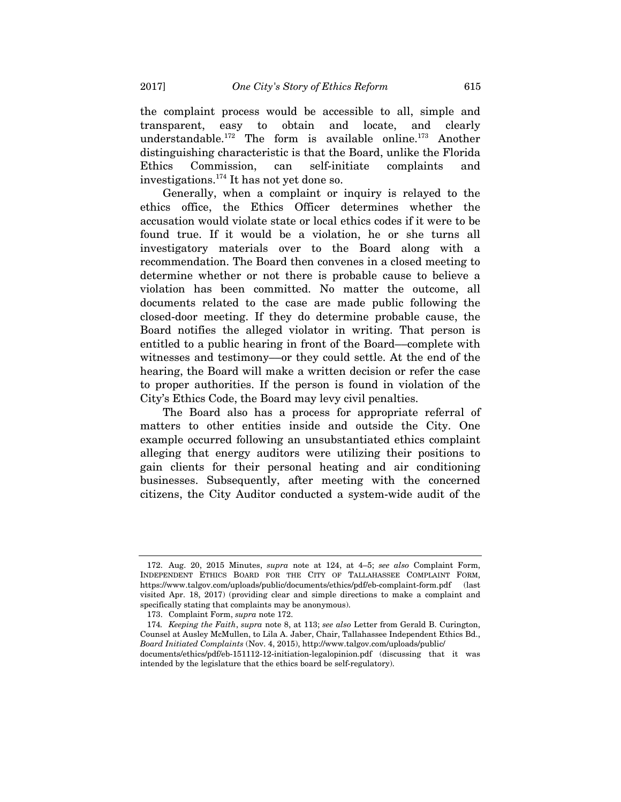the complaint process would be accessible to all, simple and transparent, easy to obtain and locate, and clearly understandable.172 The form is available online.173 Another distinguishing characteristic is that the Board, unlike the Florida Ethics Commission, can self-initiate complaints and investigations.174 It has not yet done so.

Generally, when a complaint or inquiry is relayed to the ethics office, the Ethics Officer determines whether the accusation would violate state or local ethics codes if it were to be found true. If it would be a violation, he or she turns all investigatory materials over to the Board along with a recommendation. The Board then convenes in a closed meeting to determine whether or not there is probable cause to believe a violation has been committed. No matter the outcome, all documents related to the case are made public following the closed-door meeting. If they do determine probable cause, the Board notifies the alleged violator in writing. That person is entitled to a public hearing in front of the Board––complete with witnesses and testimony––or they could settle. At the end of the hearing, the Board will make a written decision or refer the case to proper authorities. If the person is found in violation of the City's Ethics Code, the Board may levy civil penalties.

The Board also has a process for appropriate referral of matters to other entities inside and outside the City. One example occurred following an unsubstantiated ethics complaint alleging that energy auditors were utilizing their positions to gain clients for their personal heating and air conditioning businesses. Subsequently, after meeting with the concerned citizens, the City Auditor conducted a system-wide audit of the

 <sup>172.</sup> Aug. 20, 2015 Minutes, *supra* note at 124, at 4–5; *see also* Complaint Form, INDEPENDENT ETHICS BOARD FOR THE CITY OF TALLAHASSEE COMPLAINT FORM, https://www.talgov.com/uploads/public/documents/ethics/pdf/eb-complaint-form.pdf (last visited Apr. 18, 2017) (providing clear and simple directions to make a complaint and specifically stating that complaints may be anonymous).

 <sup>173.</sup> Complaint Form, *supra* note 172.

<sup>174</sup>*. Keeping the Faith*, *supra* note 8, at 113; *see also* Letter from Gerald B. Curington, Counsel at Ausley McMullen, to Lila A. Jaber, Chair, Tallahassee Independent Ethics Bd., *Board Initiated Complaints* (Nov. 4, 2015), http://www.talgov.com/uploads/public/ documents/ethics/pdf/eb-151112-12-initiation-legalopinion.pdf (discussing that it was

intended by the legislature that the ethics board be self-regulatory).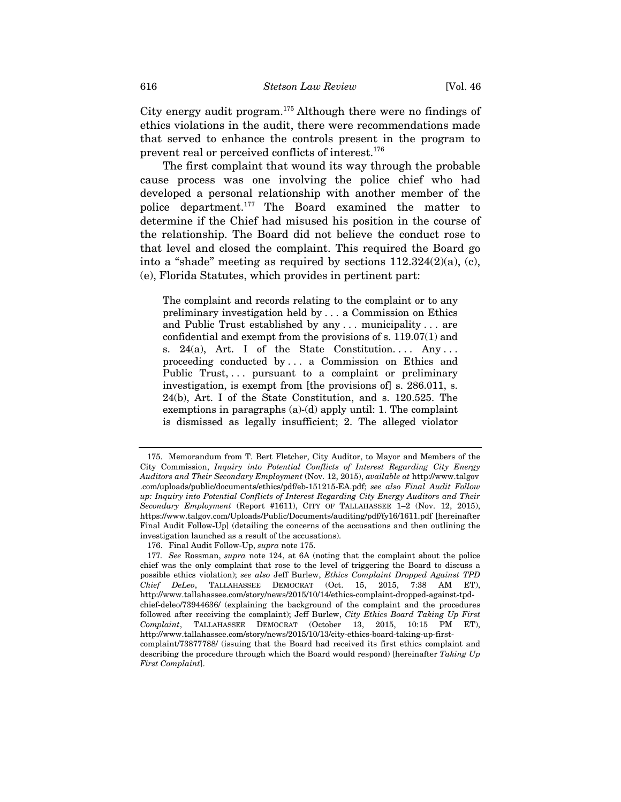City energy audit program.175 Although there were no findings of ethics violations in the audit, there were recommendations made that served to enhance the controls present in the program to prevent real or perceived conflicts of interest.<sup>176</sup>

The first complaint that wound its way through the probable cause process was one involving the police chief who had developed a personal relationship with another member of the police department.177 The Board examined the matter to determine if the Chief had misused his position in the course of the relationship. The Board did not believe the conduct rose to that level and closed the complaint. This required the Board go into a "shade" meeting as required by sections 112.324(2)(a), (c), (e), Florida Statutes, which provides in pertinent part:

The complaint and records relating to the complaint or to any preliminary investigation held by . . . a Commission on Ethics and Public Trust established by any . . . municipality . . . are confidential and exempt from the provisions of s. 119.07(1) and s. 24(a), Art. I of the State Constitution.... Any... proceeding conducted by . . . a Commission on Ethics and Public Trust, ... pursuant to a complaint or preliminary investigation, is exempt from [the provisions of] s. 286.011, s. 24(b), Art. I of the State Constitution, and s. 120.525. The exemptions in paragraphs (a)-(d) apply until: 1. The complaint is dismissed as legally insufficient; 2. The alleged violator

 <sup>175.</sup> Memorandum from T. Bert Fletcher, City Auditor, to Mayor and Members of the City Commission, *Inquiry into Potential Conflicts of Interest Regarding City Energy Auditors and Their Secondary Employment* (Nov. 12, 2015), *available at* http://www.talgov .com/uploads/public/documents/ethics/pdf/eb-151215-EA.pdf; *see also Final Audit Follow up: Inquiry into Potential Conflicts of Interest Regarding City Energy Auditors and Their Secondary Employment* (Report #1611), CITY OF TALLAHASSEE 1–2 (Nov. 12, 2015), https://www.talgov.com/Uploads/Public/Documents/auditing/pdf/fy16/1611.pdf [hereinafter Final Audit Follow-Up] (detailing the concerns of the accusations and then outlining the investigation launched as a result of the accusations).

 <sup>176.</sup> Final Audit Follow-Up, *supra* note 175.

<sup>177</sup>*. See* Rossman, *supra* note 124, at 6A (noting that the complaint about the police chief was the only complaint that rose to the level of triggering the Board to discuss a possible ethics violation); *see also* Jeff Burlew, *Ethics Complaint Dropped Against TPD Chief DeLeo*, TALLAHASSEE DEMOCRAT (Oct. 15, 2015, 7:38 AM ET), http://www.tallahassee.com/story/news/2015/10/14/ethics-complaint-dropped-against-tpdchief-deleo/73944636/ (explaining the background of the complaint and the procedures followed after receiving the complaint); Jeff Burlew, *City Ethics Board Taking Up First Complaint*, TALLAHASSEE DEMOCRAT (October 13, 2015, 10:15 PM ET), http://www.tallahassee.com/story/news/2015/10/13/city-ethics-board-taking-up-firstcomplaint/73877788/ (issuing that the Board had received its first ethics complaint and

describing the procedure through which the Board would respond) [hereinafter *Taking Up First Complaint*].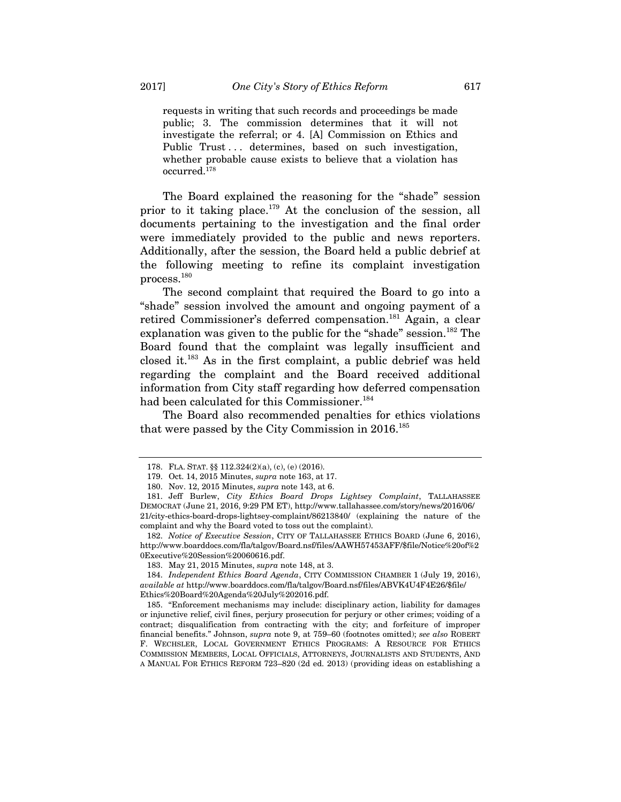requests in writing that such records and proceedings be made public; 3. The commission determines that it will not investigate the referral; or 4. [A] Commission on Ethics and Public Trust... determines, based on such investigation, whether probable cause exists to believe that a violation has occurred.178

The Board explained the reasoning for the "shade" session prior to it taking place.<sup>179</sup> At the conclusion of the session, all documents pertaining to the investigation and the final order were immediately provided to the public and news reporters. Additionally, after the session, the Board held a public debrief at the following meeting to refine its complaint investigation process.180

The second complaint that required the Board to go into a "shade" session involved the amount and ongoing payment of a retired Commissioner's deferred compensation.<sup>181</sup> Again, a clear explanation was given to the public for the "shade" session.<sup>182</sup> The Board found that the complaint was legally insufficient and closed it.183 As in the first complaint, a public debrief was held regarding the complaint and the Board received additional information from City staff regarding how deferred compensation had been calculated for this Commissioner.<sup>184</sup>

The Board also recommended penalties for ethics violations that were passed by the City Commission in 2016.<sup>185</sup>

 <sup>178.</sup> FLA. STAT. §§ 112.324(2)(a), (c), (e) (2016).

 <sup>179.</sup> Oct. 14, 2015 Minutes, *supra* note 163, at 17.

 <sup>180.</sup> Nov. 12, 2015 Minutes, *supra* note 143, at 6.

 <sup>181.</sup> Jeff Burlew, *City Ethics Board Drops Lightsey Complaint*, TALLAHASSEE DEMOCRAT (June 21, 2016, 9:29 PM ET), http://www.tallahassee.com/story/news/2016/06/ 21/city-ethics-board-drops-lightsey-complaint/86213840/ (explaining the nature of the complaint and why the Board voted to toss out the complaint).

 <sup>182.</sup> *Notice of Executive Session*, CITY OF TALLAHASSEE ETHICS BOARD (June 6, 2016), http://www.boarddocs.com/fla/talgov/Board.nsf/files/AAWH57453AFF/\$file/Notice%20of%2 0Executive%20Session%20060616.pdf.

 <sup>183.</sup> May 21, 2015 Minutes, *supra* note 148, at 3.

 <sup>184.</sup> *Independent Ethics Board Agenda*, CITY COMMISSION CHAMBER 1 (July 19, 2016), *available at* http://www.boarddocs.com/fla/talgov/Board.nsf/files/ABVK4U4F4E26/\$file/ Ethics%20Board%20Agenda%20July%202016.pdf.

 <sup>185. &</sup>quot;Enforcement mechanisms may include: disciplinary action, liability for damages or injunctive relief, civil fines, perjury prosecution for perjury or other crimes; voiding of a contract; disqualification from contracting with the city; and forfeiture of improper financial benefits." Johnson, *supra* note 9, at 759–60 (footnotes omitted); *see also* ROBERT F. WECHSLER, LOCAL GOVERNMENT ETHICS PROGRAMS: A RESOURCE FOR ETHICS COMMISSION MEMBERS, LOCAL OFFICIALS, ATTORNEYS, JOURNALISTS AND STUDENTS, AND A MANUAL FOR ETHICS REFORM 723–820 (2d ed. 2013) (providing ideas on establishing a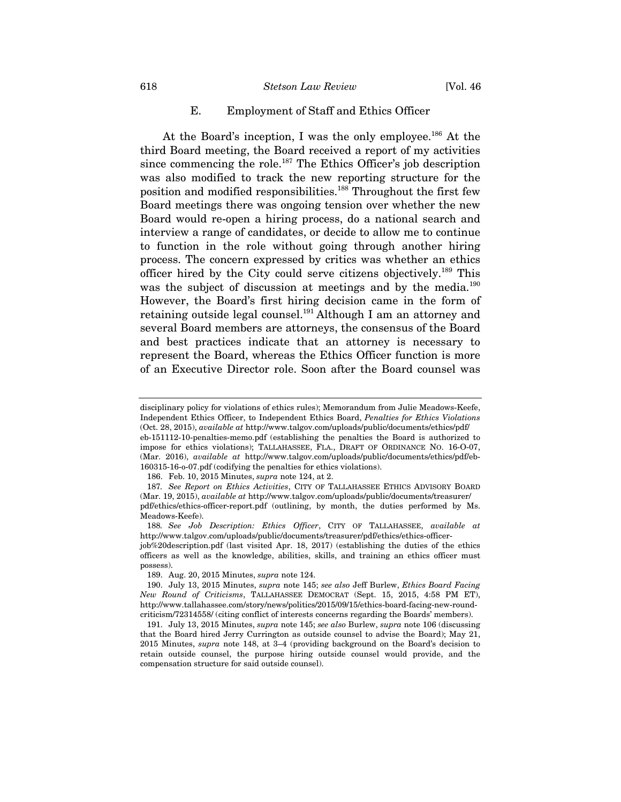#### 618 *Stetson Law Review* [Vol. 46

## E. Employment of Staff and Ethics Officer

At the Board's inception, I was the only employee.<sup>186</sup> At the third Board meeting, the Board received a report of my activities since commencing the role.<sup>187</sup> The Ethics Officer's job description was also modified to track the new reporting structure for the position and modified responsibilities.<sup>188</sup> Throughout the first few Board meetings there was ongoing tension over whether the new Board would re-open a hiring process, do a national search and interview a range of candidates, or decide to allow me to continue to function in the role without going through another hiring process. The concern expressed by critics was whether an ethics officer hired by the City could serve citizens objectively.189 This was the subject of discussion at meetings and by the media.<sup>190</sup> However, the Board's first hiring decision came in the form of retaining outside legal counsel.<sup>191</sup> Although I am an attorney and several Board members are attorneys, the consensus of the Board and best practices indicate that an attorney is necessary to represent the Board, whereas the Ethics Officer function is more of an Executive Director role. Soon after the Board counsel was

disciplinary policy for violations of ethics rules); Memorandum from Julie Meadows-Keefe, Independent Ethics Officer, to Independent Ethics Board, *Penalties for Ethics Violations*  (Oct. 28, 2015), *available at* http://www.talgov.com/uploads/public/documents/ethics/pdf/ eb-151112-10-penalties-memo.pdf (establishing the penalties the Board is authorized to impose for ethics violations); TALLAHASSEE, FLA., DRAFT OF ORDINANCE NO. 16-O-07, (Mar. 2016), *available at* http://www.talgov.com/uploads/public/documents/ethics/pdf/eb-160315-16-o-07.pdf (codifying the penalties for ethics violations).

 <sup>186.</sup> Feb. 10, 2015 Minutes, *supra* note 124, at 2.

<sup>187</sup>*. See Report on Ethics Activities*, CITY OF TALLAHASSEE ETHICS ADVISORY BOARD (Mar. 19, 2015), *available at* http://www.talgov.com/uploads/public/documents/treasurer/ pdf/ethics/ethics-officer-report.pdf (outlining, by month, the duties performed by Ms. Meadows-Keefe).

<sup>188</sup>*. See Job Description: Ethics Officer*, CITY OF TALLAHASSEE, *available at*  http://www.talgov.com/uploads/public/documents/treasurer/pdf/ethics/ethics-officer-

job%20description.pdf (last visited Apr. 18, 2017) (establishing the duties of the ethics officers as well as the knowledge, abilities, skills, and training an ethics officer must possess).

 <sup>189.</sup> Aug. 20, 2015 Minutes, *supra* note 124.

 <sup>190.</sup> July 13, 2015 Minutes, *supra* note 145; *see also* Jeff Burlew, *Ethics Board Facing New Round of Criticisms*, TALLAHASSEE DEMOCRAT (Sept. 15, 2015, 4:58 PM ET), http://www.tallahassee.com/story/news/politics/2015/09/15/ethics-board-facing-new-roundcriticism/72314558/ (citing conflict of interests concerns regarding the Boards' members).

 <sup>191.</sup> July 13, 2015 Minutes, *supra* note 145; *see also* Burlew, *supra* note 106 (discussing that the Board hired Jerry Currington as outside counsel to advise the Board); May 21, 2015 Minutes, *supra* note 148, at 3–4 (providing background on the Board's decision to retain outside counsel, the purpose hiring outside counsel would provide, and the compensation structure for said outside counsel).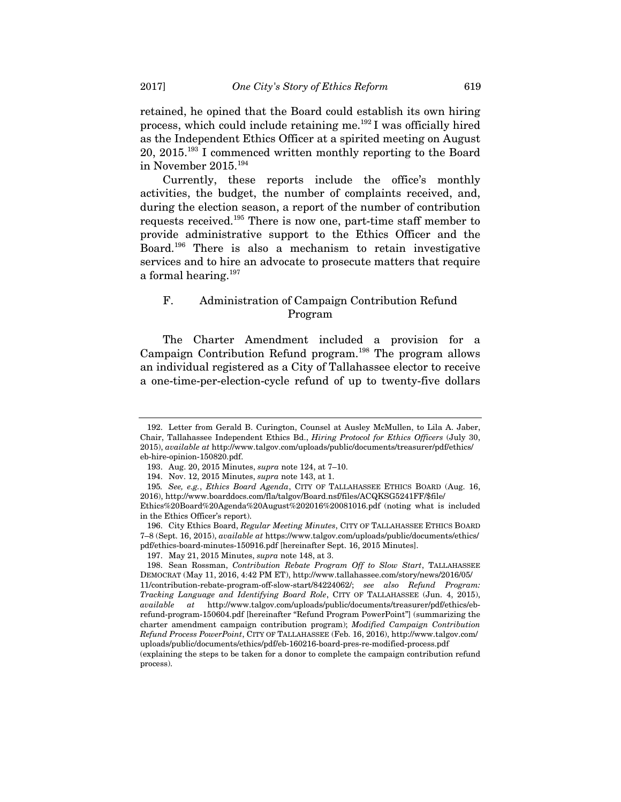retained, he opined that the Board could establish its own hiring process, which could include retaining me. $^{192}$ I was officially hired as the Independent Ethics Officer at a spirited meeting on August 20, 2015.193 I commenced written monthly reporting to the Board in November 2015.194

Currently, these reports include the office's monthly activities, the budget, the number of complaints received, and, during the election season, a report of the number of contribution requests received.195 There is now one, part-time staff member to provide administrative support to the Ethics Officer and the Board.196 There is also a mechanism to retain investigative services and to hire an advocate to prosecute matters that require a formal hearing.<sup>197</sup>

# F. Administration of Campaign Contribution Refund Program

The Charter Amendment included a provision for a Campaign Contribution Refund program.198 The program allows an individual registered as a City of Tallahassee elector to receive a one-time-per-election-cycle refund of up to twenty-five dollars

process).

 <sup>192.</sup> Letter from Gerald B. Curington, Counsel at Ausley McMullen, to Lila A. Jaber, Chair, Tallahassee Independent Ethics Bd., *Hiring Protocol for Ethics Officers* (July 30, 2015), *available at* http://www.talgov.com/uploads/public/documents/treasurer/pdf/ethics/ eb-hire-opinion-150820.pdf.

 <sup>193.</sup> Aug. 20, 2015 Minutes, *supra* note 124, at 7–10.

 <sup>194.</sup> Nov. 12, 2015 Minutes, *supra* note 143, at 1.

<sup>195</sup>*. See, e.g.*, *Ethics Board Agenda*, CITY OF TALLAHASSEE ETHICS BOARD (Aug. 16, 2016), http://www.boarddocs.com/fla/talgov/Board.nsf/files/ACQKSG5241FF/\$file/ Ethics%20Board%20Agenda%20August%202016%20081016.pdf (noting what is included

in the Ethics Officer's report). 196. City Ethics Board, *Regular Meeting Minutes*, CITY OF TALLAHASSEE ETHICS BOARD

<sup>7–8 (</sup>Sept. 16, 2015), *available at* https://www.talgov.com/uploads/public/documents/ethics/ pdf/ethics-board-minutes-150916.pdf [hereinafter Sept. 16, 2015 Minutes].

 <sup>197.</sup> May 21, 2015 Minutes, *supra* note 148, at 3.

 <sup>198.</sup> Sean Rossman, *Contribution Rebate Program Off to Slow Start*, TALLAHASSEE DEMOCRAT (May 11, 2016, 4:42 PM ET), http://www.tallahassee.com/story/news/2016/05/ 11/contribution-rebate-program-off-slow-start/84224062/; *see also Refund Program: Tracking Language and Identifying Board Role*, CITY OF TALLAHASSEE (Jun. 4, 2015), *available at* http://www.talgov.com/uploads/public/documents/treasurer/pdf/ethics/ebrefund-program-150604.pdf [hereinafter "Refund Program PowerPoint"] (summarizing the charter amendment campaign contribution program); *Modified Campaign Contribution Refund Process PowerPoint*, CITY OF TALLAHASSEE (Feb. 16, 2016), http://www.talgov.com/ uploads/public/documents/ethics/pdf/eb-160216-board-pres-re-modified-process.pdf (explaining the steps to be taken for a donor to complete the campaign contribution refund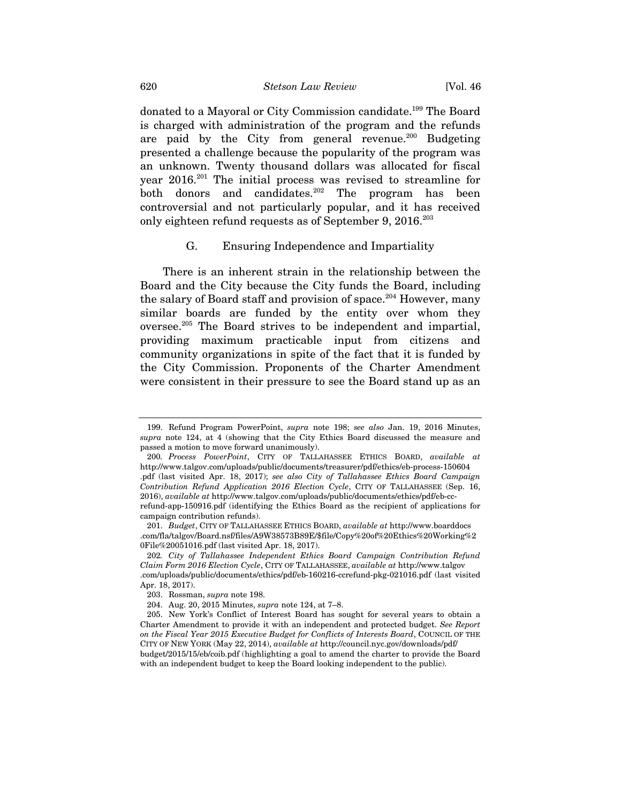donated to a Mayoral or City Commission candidate.<sup>199</sup> The Board is charged with administration of the program and the refunds are paid by the City from general revenue.<sup>200</sup> Budgeting presented a challenge because the popularity of the program was an unknown. Twenty thousand dollars was allocated for fiscal year 2016.201 The initial process was revised to streamline for both donors and candidates.<sup>202</sup> The program has been controversial and not particularly popular, and it has received only eighteen refund requests as of September 9, 2016.<sup>203</sup>

## G. Ensuring Independence and Impartiality

There is an inherent strain in the relationship between the Board and the City because the City funds the Board, including the salary of Board staff and provision of space.<sup>204</sup> However, many similar boards are funded by the entity over whom they oversee.205 The Board strives to be independent and impartial, providing maximum practicable input from citizens and community organizations in spite of the fact that it is funded by the City Commission. Proponents of the Charter Amendment were consistent in their pressure to see the Board stand up as an

 <sup>199.</sup> Refund Program PowerPoint, *supra* note 198; *see also* Jan. 19, 2016 Minutes, *supra* note 124, at 4 (showing that the City Ethics Board discussed the measure and passed a motion to move forward unanimously).

<sup>200</sup>*. Process PowerPoint*, CITY OF TALLAHASSEE ETHICS BOARD, *available at* http://www.talgov.com/uploads/public/documents/treasurer/pdf/ethics/eb-process-150604 .pdf (last visited Apr. 18, 2017); *see also City of Tallahassee Ethics Board Campaign Contribution Refund Application 2016 Election Cycle*, CITY OF TALLAHASSEE (Sep. 16, 2016), *available at* http://www.talgov.com/uploads/public/documents/ethics/pdf/eb-ccrefund-app-150916.pdf (identifying the Ethics Board as the recipient of applications for campaign contribution refunds).

 <sup>201.</sup> *Budget*, CITY OF TALLAHASSEE ETHICS BOARD, *available at* http://www.boarddocs .com/fla/talgov/Board.nsf/files/A9W38573B89E/\$file/Copy%20of%20Ethics%20Working%2 0File%20051016.pdf (last visited Apr. 18, 2017).

<sup>202</sup>*. City of Tallahassee Independent Ethics Board Campaign Contribution Refund Claim Form 2016 Election Cycle*, CITY OF TALLAHASSEE, *available at* http://www.talgov .com/uploads/public/documents/ethics/pdf/eb-160216-ccrefund-pkg-021016.pdf (last visited Apr. 18, 2017).

 <sup>203.</sup> Rossman, *supra* note 198.

 <sup>204.</sup> Aug. 20, 2015 Minutes, *supra* note 124, at 7–8.

 <sup>205.</sup> New York's Conflict of Interest Board has sought for several years to obtain a Charter Amendment to provide it with an independent and protected budget. *See Report on the Fiscal Year 2015 Executive Budget for Conflicts of Interests Board*, COUNCIL OF THE CITY OF NEW YORK (May 22, 2014), *available at* http://council.nyc.gov/downloads/pdf/ budget/2015/15/eb/coib.pdf (highlighting a goal to amend the charter to provide the Board with an independent budget to keep the Board looking independent to the public).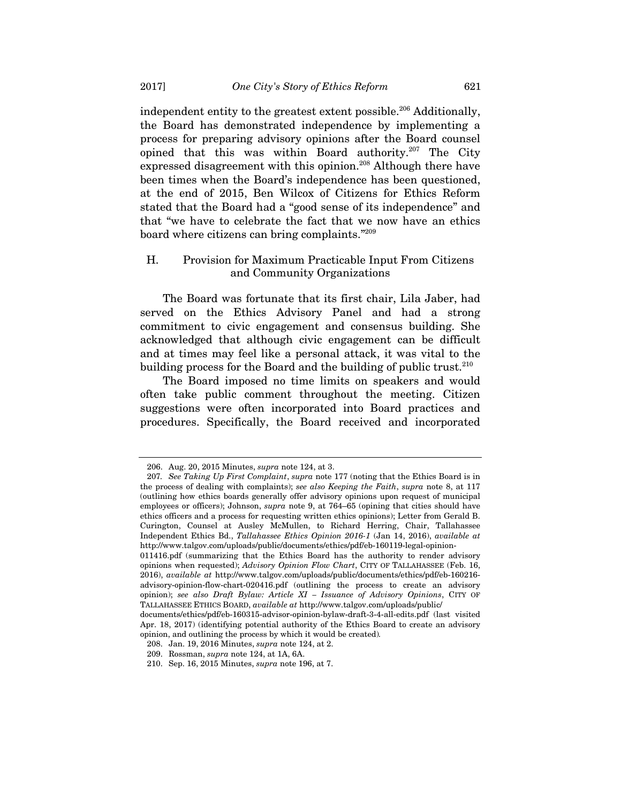independent entity to the greatest extent possible.<sup>206</sup> Additionally, the Board has demonstrated independence by implementing a process for preparing advisory opinions after the Board counsel opined that this was within Board authority. $207$  The City expressed disagreement with this opinion.<sup>208</sup> Although there have been times when the Board's independence has been questioned, at the end of 2015, Ben Wilcox of Citizens for Ethics Reform stated that the Board had a "good sense of its independence" and that "we have to celebrate the fact that we now have an ethics board where citizens can bring complaints."209

## H. Provision for Maximum Practicable Input From Citizens and Community Organizations

The Board was fortunate that its first chair, Lila Jaber, had served on the Ethics Advisory Panel and had a strong commitment to civic engagement and consensus building. She acknowledged that although civic engagement can be difficult and at times may feel like a personal attack, it was vital to the building process for the Board and the building of public trust.<sup>210</sup>

The Board imposed no time limits on speakers and would often take public comment throughout the meeting. Citizen suggestions were often incorporated into Board practices and procedures. Specifically, the Board received and incorporated

 <sup>206.</sup> Aug. 20, 2015 Minutes, *supra* note 124, at 3.

<sup>207</sup>*. See Taking Up First Complaint*, *supra* note 177 (noting that the Ethics Board is in the process of dealing with complaints); *see also Keeping the Faith*, *supra* note 8, at 117 (outlining how ethics boards generally offer advisory opinions upon request of municipal employees or officers); Johnson, *supra* note 9, at 764–65 (opining that cities should have ethics officers and a process for requesting written ethics opinions); Letter from Gerald B. Curington, Counsel at Ausley McMullen, to Richard Herring, Chair, Tallahassee Independent Ethics Bd., *Tallahassee Ethics Opinion 2016-1* (Jan 14, 2016), *available at*  http://www.talgov.com/uploads/public/documents/ethics/pdf/eb-160119-legal-opinion-

<sup>011416.</sup>pdf (summarizing that the Ethics Board has the authority to render advisory opinions when requested); *Advisory Opinion Flow Chart*, CITY OF TALLAHASSEE (Feb. 16, 2016), *available at* http://www.talgov.com/uploads/public/documents/ethics/pdf/eb-160216 advisory-opinion-flow-chart-020416.pdf (outlining the process to create an advisory opinion); *see also Draft Bylaw: Article XI – Issuance of Advisory Opinions*, CITY OF TALLAHASSEE ETHICS BOARD, *available at* http://www.talgov.com/uploads/public/

documents/ethics/pdf/eb-160315-advisor-opinion-bylaw-draft-3-4-all-edits.pdf (last visited Apr. 18, 2017) (identifying potential authority of the Ethics Board to create an advisory opinion, and outlining the process by which it would be created)*.*

 <sup>208.</sup> Jan. 19, 2016 Minutes, *supra* note 124, at 2.

 <sup>209.</sup> Rossman, *supra* note 124, at 1A, 6A.

 <sup>210.</sup> Sep. 16, 2015 Minutes, *supra* note 196, at 7.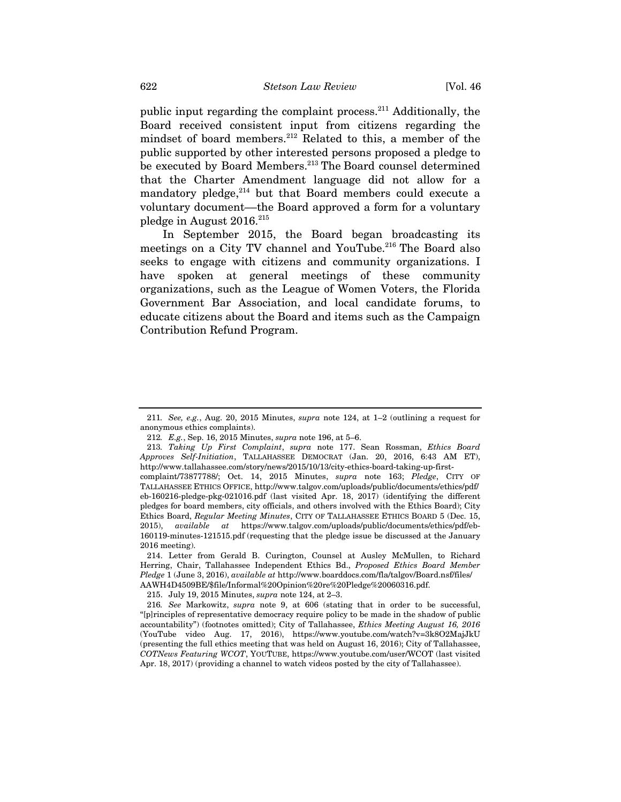public input regarding the complaint process.211 Additionally, the Board received consistent input from citizens regarding the mindset of board members.<sup>212</sup> Related to this, a member of the public supported by other interested persons proposed a pledge to be executed by Board Members.<sup>213</sup> The Board counsel determined that the Charter Amendment language did not allow for a mandatory pledge, $2^{14}$  but that Board members could execute a voluntary document––the Board approved a form for a voluntary pledge in August  $2016.^{215}$ 

In September 2015, the Board began broadcasting its meetings on a City TV channel and YouTube.<sup>216</sup> The Board also seeks to engage with citizens and community organizations. I have spoken at general meetings of these community organizations, such as the League of Women Voters, the Florida Government Bar Association, and local candidate forums, to educate citizens about the Board and items such as the Campaign Contribution Refund Program.

<sup>211</sup>*. See, e.g.*, Aug. 20, 2015 Minutes, *supra* note 124, at 1–2 (outlining a request for anonymous ethics complaints).

<sup>212</sup>*. E.g.*, Sep. 16, 2015 Minutes, *supra* note 196, at 5–6.

<sup>213</sup>*. Taking Up First Complaint*, *supra* note 177. Sean Rossman, *Ethics Board Approves Self-Initiation*, TALLAHASSEE DEMOCRAT (Jan. 20, 2016, 6:43 AM ET), http://www.tallahassee.com/story/news/2015/10/13/city-ethics-board-taking-up-first-

complaint/73877788/; Oct. 14, 2015 Minutes, *supra* note 163; *Pledge*, CITY OF TALLAHASSEE ETHICS OFFICE, http://www.talgov.com/uploads/public/documents/ethics/pdf/ eb-160216-pledge-pkg-021016.pdf (last visited Apr. 18, 2017) (identifying the different pledges for board members, city officials, and others involved with the Ethics Board); City Ethics Board, *Regular Meeting Minutes*, CITY OF TALLAHASSEE ETHICS BOARD 5 (Dec. 15, 2015), *available at* https://www.talgov.com/uploads/public/documents/ethics/pdf/eb-160119-minutes-121515.pdf (requesting that the pledge issue be discussed at the January 2016 meeting).

 <sup>214.</sup> Letter from Gerald B. Curington, Counsel at Ausley McMullen, to Richard Herring, Chair, Tallahassee Independent Ethics Bd., *Proposed Ethics Board Member Pledge* 1 (June 3, 2016), *available at* http://www.boarddocs.com/fla/talgov/Board.nsf/files/ AAWH4D4509BE/\$file/Informal%20Opinion%20re%20Pledge%20060316.pdf.

 <sup>215.</sup> July 19, 2015 Minutes, *supra* note 124, at 2–3.

<sup>216</sup>*. See* Markowitz, *supra* note 9, at 606 (stating that in order to be successful, "[p]rinciples of representative democracy require policy to be made in the shadow of public accountability") (footnotes omitted); City of Tallahassee, *Ethics Meeting August 16, 2016* (YouTube video Aug. 17, 2016), https://www.youtube.com/watch?v=3k8O2MajJkU (presenting the full ethics meeting that was held on August 16, 2016); City of Tallahassee, *COTNews Featuring WCOT*, YOUTUBE, https://www.youtube.com/user/WCOT (last visited Apr. 18, 2017) (providing a channel to watch videos posted by the city of Tallahassee).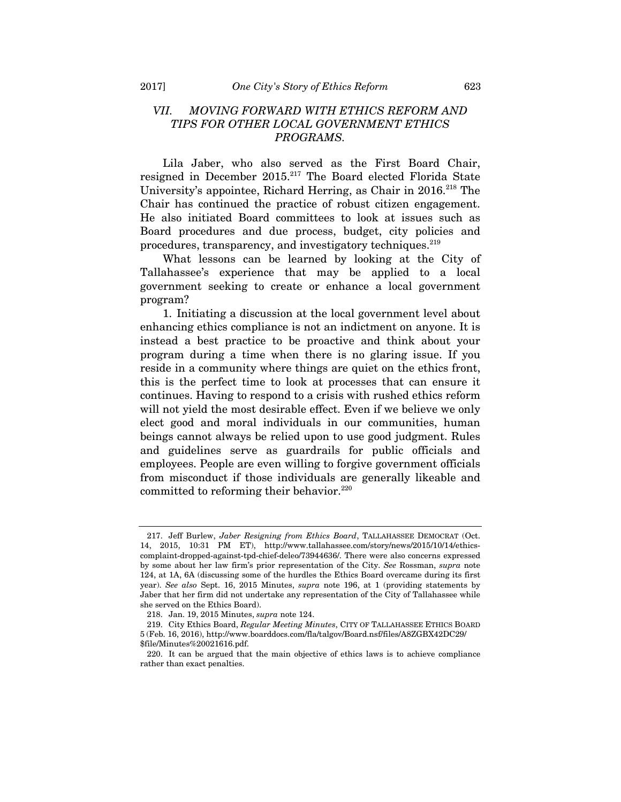# *VII. MOVING FORWARD WITH ETHICS REFORM AND TIPS FOR OTHER LOCAL GOVERNMENT ETHICS PROGRAMS.*

Lila Jaber, who also served as the First Board Chair, resigned in December 2015.<sup>217</sup> The Board elected Florida State University's appointee, Richard Herring, as Chair in 2016.<sup>218</sup> The Chair has continued the practice of robust citizen engagement. He also initiated Board committees to look at issues such as Board procedures and due process, budget, city policies and procedures, transparency, and investigatory techniques.<sup>219</sup>

What lessons can be learned by looking at the City of Tallahassee's experience that may be applied to a local government seeking to create or enhance a local government program?

1. Initiating a discussion at the local government level about enhancing ethics compliance is not an indictment on anyone. It is instead a best practice to be proactive and think about your program during a time when there is no glaring issue. If you reside in a community where things are quiet on the ethics front, this is the perfect time to look at processes that can ensure it continues. Having to respond to a crisis with rushed ethics reform will not yield the most desirable effect. Even if we believe we only elect good and moral individuals in our communities, human beings cannot always be relied upon to use good judgment. Rules and guidelines serve as guardrails for public officials and employees. People are even willing to forgive government officials from misconduct if those individuals are generally likeable and committed to reforming their behavior.<sup>220</sup>

 <sup>217.</sup> Jeff Burlew, *Jaber Resigning from Ethics Board*, TALLAHASSEE DEMOCRAT (Oct. 14, 2015, 10:31 PM ET), http://www.tallahassee.com/story/news/2015/10/14/ethicscomplaint-dropped-against-tpd-chief-deleo/73944636/. There were also concerns expressed by some about her law firm's prior representation of the City. *See* Rossman, *supra* note 124, at 1A, 6A (discussing some of the hurdles the Ethics Board overcame during its first year). *See also* Sept. 16, 2015 Minutes, *supra* note 196, at 1 (providing statements by Jaber that her firm did not undertake any representation of the City of Tallahassee while she served on the Ethics Board).

 <sup>218.</sup> Jan. 19, 2015 Minutes, *supra* note 124.

 <sup>219.</sup> City Ethics Board, *Regular Meeting Minutes*, CITY OF TALLAHASSEE ETHICS BOARD 5 (Feb. 16, 2016), http://www.boarddocs.com/fla/talgov/Board.nsf/files/A8ZGBX42DC29/ \$file/Minutes%20021616.pdf.

 <sup>220.</sup> It can be argued that the main objective of ethics laws is to achieve compliance rather than exact penalties.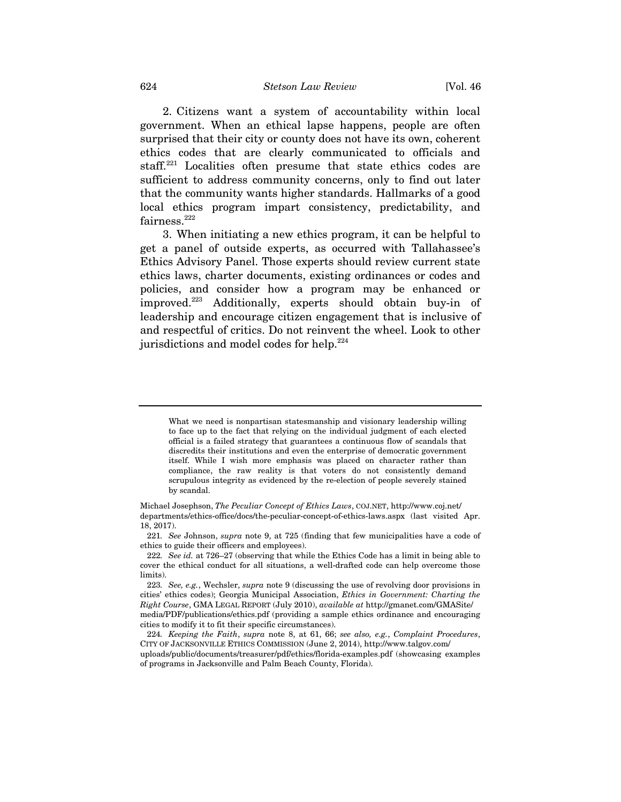2. Citizens want a system of accountability within local government. When an ethical lapse happens, people are often surprised that their city or county does not have its own, coherent ethics codes that are clearly communicated to officials and staff.221 Localities often presume that state ethics codes are sufficient to address community concerns, only to find out later that the community wants higher standards. Hallmarks of a good local ethics program impart consistency, predictability, and fairness.<sup>222</sup>

3. When initiating a new ethics program, it can be helpful to get a panel of outside experts, as occurred with Tallahassee's Ethics Advisory Panel. Those experts should review current state ethics laws, charter documents, existing ordinances or codes and policies, and consider how a program may be enhanced or improved.223 Additionally, experts should obtain buy-in of leadership and encourage citizen engagement that is inclusive of and respectful of critics. Do not reinvent the wheel. Look to other jurisdictions and model codes for help.<sup>224</sup>

What we need is nonpartisan statesmanship and visionary leadership willing to face up to the fact that relying on the individual judgment of each elected official is a failed strategy that guarantees a continuous flow of scandals that discredits their institutions and even the enterprise of democratic government itself. While I wish more emphasis was placed on character rather than compliance, the raw reality is that voters do not consistently demand scrupulous integrity as evidenced by the re-election of people severely stained by scandal.

Michael Josephson, *The Peculiar Concept of Ethics Laws*, COJ.NET, http://www.coj.net/ departments/ethics-office/docs/the-peculiar-concept-of-ethics-laws.aspx (last visited Apr. 18, 2017).

<sup>221</sup>*. See* Johnson, *supra* note 9, at 725 (finding that few municipalities have a code of ethics to guide their officers and employees).

<sup>222</sup>*. See id.* at 726–27 (observing that while the Ethics Code has a limit in being able to cover the ethical conduct for all situations, a well-drafted code can help overcome those limits).

<sup>223</sup>*. See, e.g.*, Wechsler, *supra* note 9 (discussing the use of revolving door provisions in cities' ethics codes); Georgia Municipal Association, *Ethics in Government: Charting the Right Course*, GMA LEGAL REPORT (July 2010), *available at* http://gmanet.com/GMASite/ media/PDF/publications/ethics.pdf (providing a sample ethics ordinance and encouraging cities to modify it to fit their specific circumstances).

<sup>224</sup>*. Keeping the Faith*, *supra* note 8, at 61, 66; *see also, e.g.*, *Complaint Procedures*, CITY OF JACKSONVILLE ETHICS COMMISSION (June 2, 2014), http://www.talgov.com/

uploads/public/documents/treasurer/pdf/ethics/florida-examples.pdf (showcasing examples of programs in Jacksonville and Palm Beach County, Florida).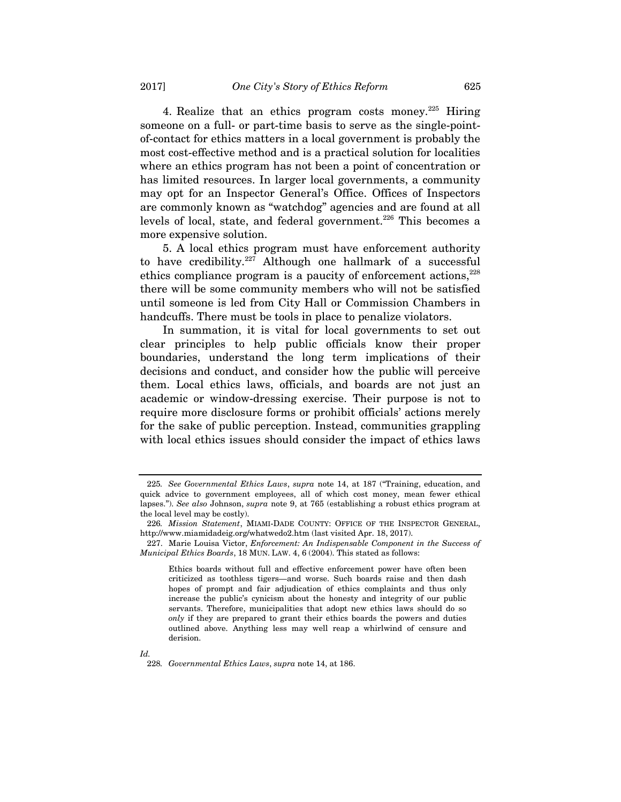4. Realize that an ethics program costs money.<sup>225</sup> Hiring someone on a full- or part-time basis to serve as the single-pointof-contact for ethics matters in a local government is probably the most cost-effective method and is a practical solution for localities where an ethics program has not been a point of concentration or has limited resources. In larger local governments, a community may opt for an Inspector General's Office. Offices of Inspectors are commonly known as "watchdog" agencies and are found at all levels of local, state, and federal government.<sup>226</sup> This becomes a more expensive solution.

5. A local ethics program must have enforcement authority to have credibility.<sup>227</sup> Although one hallmark of a successful ethics compliance program is a paucity of enforcement actions, $228$ there will be some community members who will not be satisfied until someone is led from City Hall or Commission Chambers in handcuffs. There must be tools in place to penalize violators.

In summation, it is vital for local governments to set out clear principles to help public officials know their proper boundaries, understand the long term implications of their decisions and conduct, and consider how the public will perceive them. Local ethics laws, officials, and boards are not just an academic or window-dressing exercise. Their purpose is not to require more disclosure forms or prohibit officials' actions merely for the sake of public perception. Instead, communities grappling with local ethics issues should consider the impact of ethics laws

228*. Governmental Ethics Laws*, *supra* note 14, at 186.

<sup>225</sup>*. See Governmental Ethics Laws*, *supra* note 14, at 187 ("Training, education, and quick advice to government employees, all of which cost money, mean fewer ethical lapses."). *See also* Johnson, *supra* note 9, at 765 (establishing a robust ethics program at the local level may be costly).

<sup>226</sup>*. Mission Statement*, MIAMI-DADE COUNTY: OFFICE OF THE INSPECTOR GENERAL, http://www.miamidadeig.org/whatwedo2.htm (last visited Apr. 18, 2017).

 <sup>227.</sup> Marie Louisa Victor, *Enforcement: An Indispensable Component in the Success of Municipal Ethics Boards*, 18 MUN. LAW. 4, 6 (2004). This stated as follows:

Ethics boards without full and effective enforcement power have often been criticized as toothless tigers—and worse. Such boards raise and then dash hopes of prompt and fair adjudication of ethics complaints and thus only increase the public's cynicism about the honesty and integrity of our public servants. Therefore, municipalities that adopt new ethics laws should do so *only* if they are prepared to grant their ethics boards the powers and duties outlined above. Anything less may well reap a whirlwind of censure and derision.